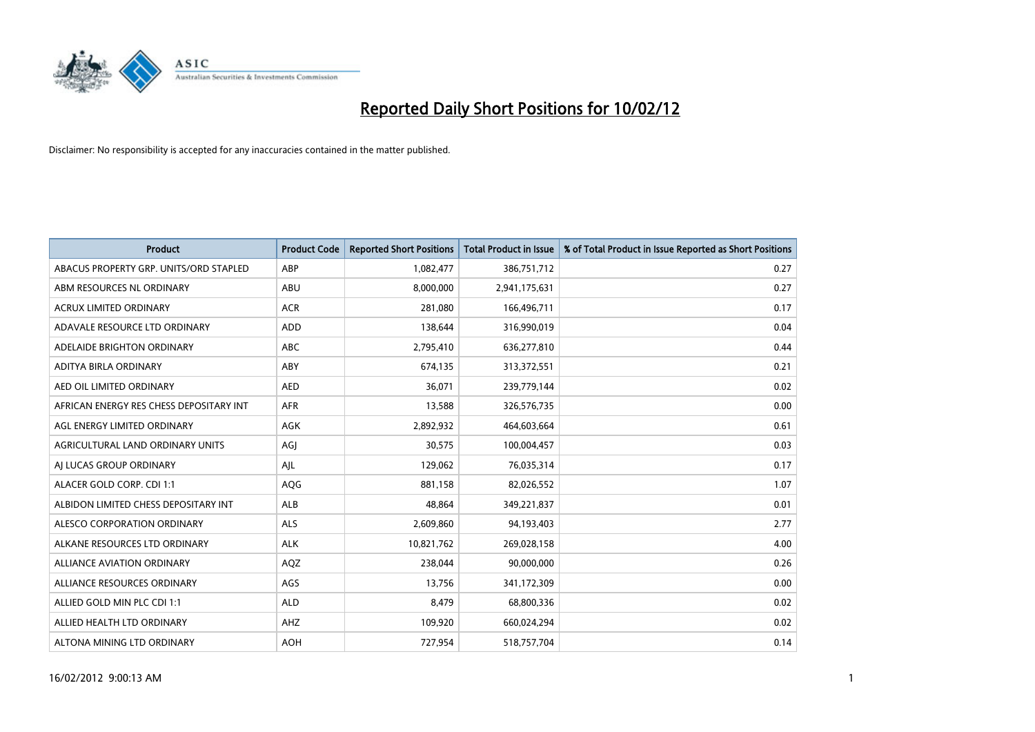

| <b>Product</b>                          | <b>Product Code</b> | <b>Reported Short Positions</b> | <b>Total Product in Issue</b> | % of Total Product in Issue Reported as Short Positions |
|-----------------------------------------|---------------------|---------------------------------|-------------------------------|---------------------------------------------------------|
| ABACUS PROPERTY GRP. UNITS/ORD STAPLED  | ABP                 | 1,082,477                       | 386,751,712                   | 0.27                                                    |
| ABM RESOURCES NL ORDINARY               | ABU                 | 8,000,000                       | 2,941,175,631                 | 0.27                                                    |
| <b>ACRUX LIMITED ORDINARY</b>           | <b>ACR</b>          | 281,080                         | 166,496,711                   | 0.17                                                    |
| ADAVALE RESOURCE LTD ORDINARY           | <b>ADD</b>          | 138,644                         | 316,990,019                   | 0.04                                                    |
| ADELAIDE BRIGHTON ORDINARY              | <b>ABC</b>          | 2,795,410                       | 636,277,810                   | 0.44                                                    |
| ADITYA BIRLA ORDINARY                   | ABY                 | 674,135                         | 313,372,551                   | 0.21                                                    |
| AED OIL LIMITED ORDINARY                | <b>AED</b>          | 36,071                          | 239,779,144                   | 0.02                                                    |
| AFRICAN ENERGY RES CHESS DEPOSITARY INT | <b>AFR</b>          | 13,588                          | 326,576,735                   | 0.00                                                    |
| AGL ENERGY LIMITED ORDINARY             | <b>AGK</b>          | 2,892,932                       | 464,603,664                   | 0.61                                                    |
| AGRICULTURAL LAND ORDINARY UNITS        | AGI                 | 30,575                          | 100,004,457                   | 0.03                                                    |
| AI LUCAS GROUP ORDINARY                 | AJL                 | 129,062                         | 76,035,314                    | 0.17                                                    |
| ALACER GOLD CORP. CDI 1:1               | AQG                 | 881,158                         | 82,026,552                    | 1.07                                                    |
| ALBIDON LIMITED CHESS DEPOSITARY INT    | ALB                 | 48,864                          | 349,221,837                   | 0.01                                                    |
| ALESCO CORPORATION ORDINARY             | ALS                 | 2,609,860                       | 94,193,403                    | 2.77                                                    |
| ALKANE RESOURCES LTD ORDINARY           | <b>ALK</b>          | 10,821,762                      | 269,028,158                   | 4.00                                                    |
| ALLIANCE AVIATION ORDINARY              | AQZ                 | 238,044                         | 90,000,000                    | 0.26                                                    |
| ALLIANCE RESOURCES ORDINARY             | AGS                 | 13,756                          | 341,172,309                   | 0.00                                                    |
| ALLIED GOLD MIN PLC CDI 1:1             | <b>ALD</b>          | 8,479                           | 68,800,336                    | 0.02                                                    |
| ALLIED HEALTH LTD ORDINARY              | AHZ                 | 109,920                         | 660,024,294                   | 0.02                                                    |
| ALTONA MINING LTD ORDINARY              | <b>AOH</b>          | 727,954                         | 518,757,704                   | 0.14                                                    |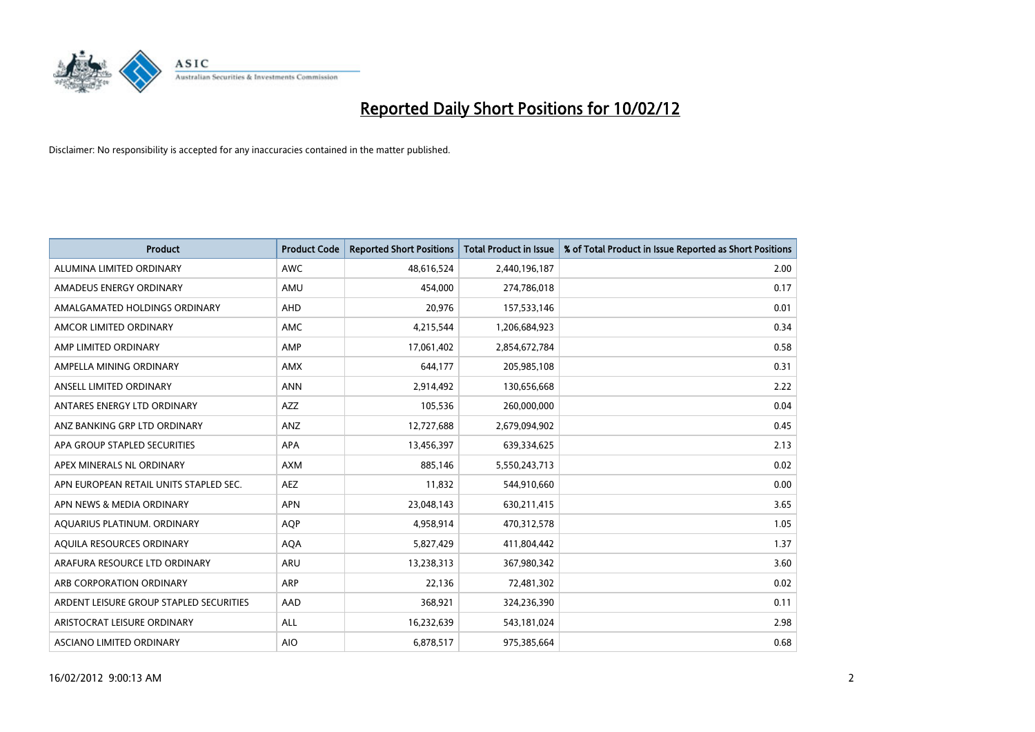

| <b>Product</b>                          | <b>Product Code</b> | <b>Reported Short Positions</b> | <b>Total Product in Issue</b> | % of Total Product in Issue Reported as Short Positions |
|-----------------------------------------|---------------------|---------------------------------|-------------------------------|---------------------------------------------------------|
| ALUMINA LIMITED ORDINARY                | <b>AWC</b>          | 48,616,524                      | 2,440,196,187                 | 2.00                                                    |
| AMADEUS ENERGY ORDINARY                 | AMU                 | 454,000                         | 274,786,018                   | 0.17                                                    |
| AMALGAMATED HOLDINGS ORDINARY           | AHD                 | 20,976                          | 157,533,146                   | 0.01                                                    |
| AMCOR LIMITED ORDINARY                  | AMC                 | 4,215,544                       | 1,206,684,923                 | 0.34                                                    |
| AMP LIMITED ORDINARY                    | AMP                 | 17,061,402                      | 2,854,672,784                 | 0.58                                                    |
| AMPELLA MINING ORDINARY                 | <b>AMX</b>          | 644,177                         | 205,985,108                   | 0.31                                                    |
| ANSELL LIMITED ORDINARY                 | <b>ANN</b>          | 2,914,492                       | 130,656,668                   | 2.22                                                    |
| ANTARES ENERGY LTD ORDINARY             | AZZ                 | 105,536                         | 260,000,000                   | 0.04                                                    |
| ANZ BANKING GRP LTD ORDINARY            | ANZ                 | 12,727,688                      | 2,679,094,902                 | 0.45                                                    |
| APA GROUP STAPLED SECURITIES            | <b>APA</b>          | 13,456,397                      | 639,334,625                   | 2.13                                                    |
| APEX MINERALS NL ORDINARY               | <b>AXM</b>          | 885,146                         | 5,550,243,713                 | 0.02                                                    |
| APN EUROPEAN RETAIL UNITS STAPLED SEC.  | <b>AEZ</b>          | 11,832                          | 544,910,660                   | 0.00                                                    |
| APN NEWS & MEDIA ORDINARY               | <b>APN</b>          | 23,048,143                      | 630,211,415                   | 3.65                                                    |
| AQUARIUS PLATINUM. ORDINARY             | <b>AOP</b>          | 4,958,914                       | 470,312,578                   | 1.05                                                    |
| AQUILA RESOURCES ORDINARY               | <b>AQA</b>          | 5,827,429                       | 411,804,442                   | 1.37                                                    |
| ARAFURA RESOURCE LTD ORDINARY           | ARU                 | 13,238,313                      | 367,980,342                   | 3.60                                                    |
| ARB CORPORATION ORDINARY                | ARP                 | 22,136                          | 72,481,302                    | 0.02                                                    |
| ARDENT LEISURE GROUP STAPLED SECURITIES | AAD                 | 368,921                         | 324,236,390                   | 0.11                                                    |
| ARISTOCRAT LEISURE ORDINARY             | ALL                 | 16,232,639                      | 543,181,024                   | 2.98                                                    |
| ASCIANO LIMITED ORDINARY                | <b>AIO</b>          | 6,878,517                       | 975,385,664                   | 0.68                                                    |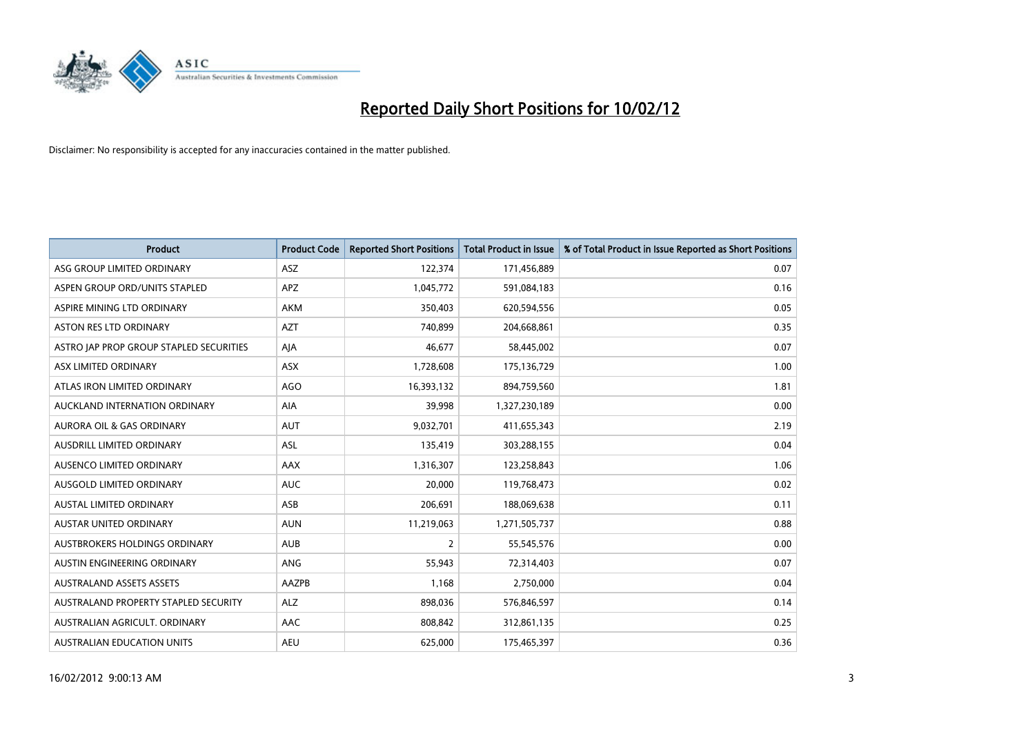

| <b>Product</b>                          | <b>Product Code</b> | <b>Reported Short Positions</b> | <b>Total Product in Issue</b> | % of Total Product in Issue Reported as Short Positions |
|-----------------------------------------|---------------------|---------------------------------|-------------------------------|---------------------------------------------------------|
| ASG GROUP LIMITED ORDINARY              | ASZ                 | 122,374                         | 171,456,889                   | 0.07                                                    |
| ASPEN GROUP ORD/UNITS STAPLED           | <b>APZ</b>          | 1,045,772                       | 591,084,183                   | 0.16                                                    |
| ASPIRE MINING LTD ORDINARY              | AKM                 | 350,403                         | 620,594,556                   | 0.05                                                    |
| ASTON RES LTD ORDINARY                  | <b>AZT</b>          | 740,899                         | 204,668,861                   | 0.35                                                    |
| ASTRO JAP PROP GROUP STAPLED SECURITIES | AJA                 | 46,677                          | 58,445,002                    | 0.07                                                    |
| ASX LIMITED ORDINARY                    | ASX                 | 1,728,608                       | 175,136,729                   | 1.00                                                    |
| ATLAS IRON LIMITED ORDINARY             | <b>AGO</b>          | 16,393,132                      | 894,759,560                   | 1.81                                                    |
| AUCKLAND INTERNATION ORDINARY           | AIA                 | 39,998                          | 1,327,230,189                 | 0.00                                                    |
| <b>AURORA OIL &amp; GAS ORDINARY</b>    | <b>AUT</b>          | 9,032,701                       | 411,655,343                   | 2.19                                                    |
| AUSDRILL LIMITED ORDINARY               | <b>ASL</b>          | 135,419                         | 303,288,155                   | 0.04                                                    |
| AUSENCO LIMITED ORDINARY                | AAX                 | 1,316,307                       | 123,258,843                   | 1.06                                                    |
| AUSGOLD LIMITED ORDINARY                | <b>AUC</b>          | 20,000                          | 119,768,473                   | 0.02                                                    |
| AUSTAL LIMITED ORDINARY                 | ASB                 | 206,691                         | 188,069,638                   | 0.11                                                    |
| <b>AUSTAR UNITED ORDINARY</b>           | <b>AUN</b>          | 11,219,063                      | 1,271,505,737                 | 0.88                                                    |
| AUSTBROKERS HOLDINGS ORDINARY           | <b>AUB</b>          | 2                               | 55,545,576                    | 0.00                                                    |
| AUSTIN ENGINEERING ORDINARY             | ANG                 | 55,943                          | 72,314,403                    | 0.07                                                    |
| <b>AUSTRALAND ASSETS ASSETS</b>         | AAZPB               | 1,168                           | 2,750,000                     | 0.04                                                    |
| AUSTRALAND PROPERTY STAPLED SECURITY    | <b>ALZ</b>          | 898,036                         | 576,846,597                   | 0.14                                                    |
| AUSTRALIAN AGRICULT, ORDINARY           | <b>AAC</b>          | 808,842                         | 312,861,135                   | 0.25                                                    |
| AUSTRALIAN EDUCATION UNITS              | <b>AEU</b>          | 625,000                         | 175,465,397                   | 0.36                                                    |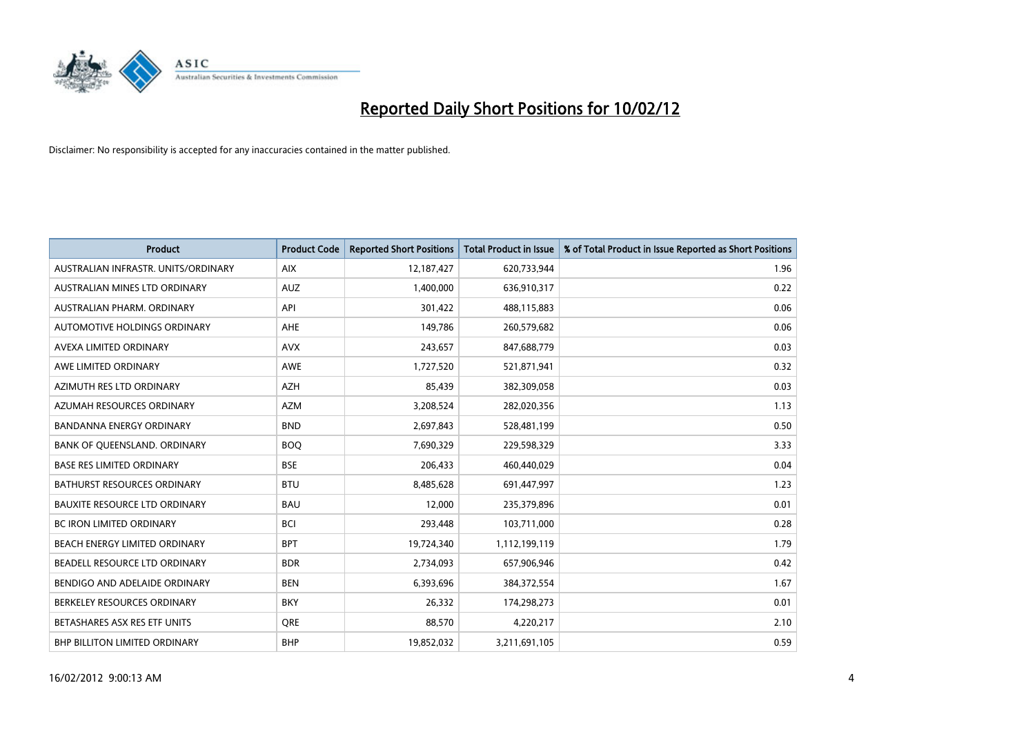

| <b>Product</b>                       | <b>Product Code</b> | <b>Reported Short Positions</b> | <b>Total Product in Issue</b> | % of Total Product in Issue Reported as Short Positions |
|--------------------------------------|---------------------|---------------------------------|-------------------------------|---------------------------------------------------------|
| AUSTRALIAN INFRASTR, UNITS/ORDINARY  | <b>AIX</b>          | 12,187,427                      | 620,733,944                   | 1.96                                                    |
| AUSTRALIAN MINES LTD ORDINARY        | <b>AUZ</b>          | 1,400,000                       | 636,910,317                   | 0.22                                                    |
| AUSTRALIAN PHARM, ORDINARY           | API                 | 301,422                         | 488,115,883                   | 0.06                                                    |
| AUTOMOTIVE HOLDINGS ORDINARY         | AHE                 | 149,786                         | 260,579,682                   | 0.06                                                    |
| AVEXA LIMITED ORDINARY               | <b>AVX</b>          | 243,657                         | 847,688,779                   | 0.03                                                    |
| AWE LIMITED ORDINARY                 | <b>AWE</b>          | 1,727,520                       | 521,871,941                   | 0.32                                                    |
| AZIMUTH RES LTD ORDINARY             | AZH                 | 85,439                          | 382,309,058                   | 0.03                                                    |
| AZUMAH RESOURCES ORDINARY            | <b>AZM</b>          | 3,208,524                       | 282,020,356                   | 1.13                                                    |
| <b>BANDANNA ENERGY ORDINARY</b>      | <b>BND</b>          | 2,697,843                       | 528,481,199                   | 0.50                                                    |
| BANK OF QUEENSLAND. ORDINARY         | <b>BOQ</b>          | 7,690,329                       | 229,598,329                   | 3.33                                                    |
| <b>BASE RES LIMITED ORDINARY</b>     | <b>BSE</b>          | 206,433                         | 460,440,029                   | 0.04                                                    |
| <b>BATHURST RESOURCES ORDINARY</b>   | <b>BTU</b>          | 8,485,628                       | 691,447,997                   | 1.23                                                    |
| <b>BAUXITE RESOURCE LTD ORDINARY</b> | <b>BAU</b>          | 12,000                          | 235,379,896                   | 0.01                                                    |
| <b>BC IRON LIMITED ORDINARY</b>      | <b>BCI</b>          | 293,448                         | 103,711,000                   | 0.28                                                    |
| BEACH ENERGY LIMITED ORDINARY        | <b>BPT</b>          | 19,724,340                      | 1,112,199,119                 | 1.79                                                    |
| BEADELL RESOURCE LTD ORDINARY        | <b>BDR</b>          | 2,734,093                       | 657,906,946                   | 0.42                                                    |
| BENDIGO AND ADELAIDE ORDINARY        | <b>BEN</b>          | 6,393,696                       | 384, 372, 554                 | 1.67                                                    |
| BERKELEY RESOURCES ORDINARY          | <b>BKY</b>          | 26,332                          | 174,298,273                   | 0.01                                                    |
| BETASHARES ASX RES ETF UNITS         | <b>ORE</b>          | 88,570                          | 4,220,217                     | 2.10                                                    |
| BHP BILLITON LIMITED ORDINARY        | <b>BHP</b>          | 19,852,032                      | 3,211,691,105                 | 0.59                                                    |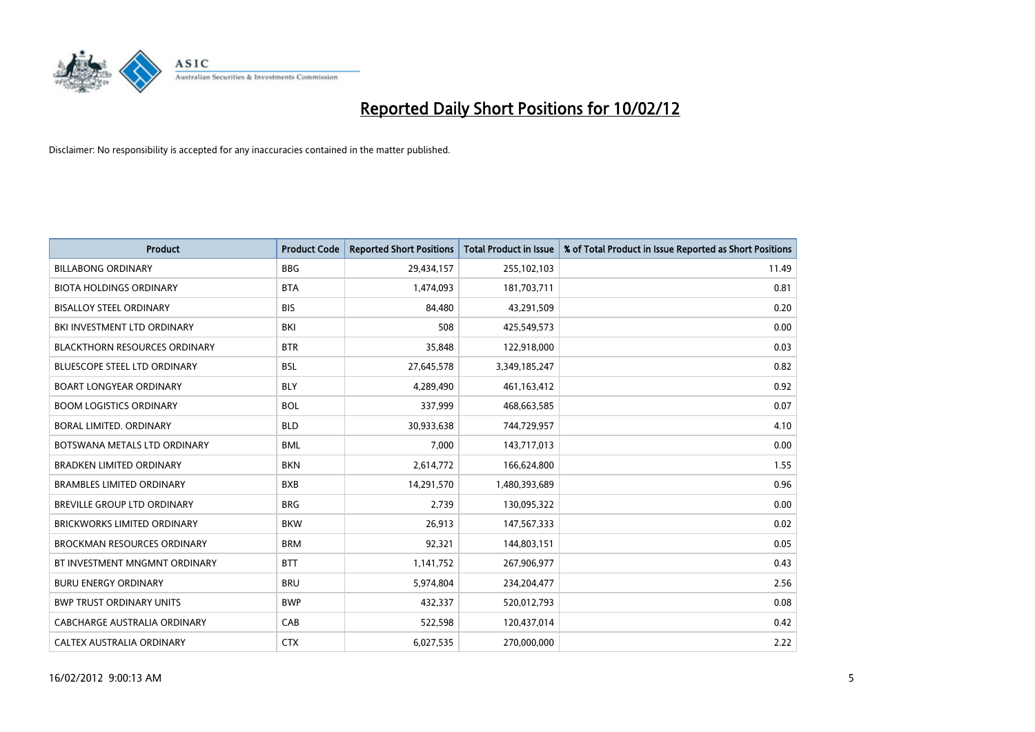

| <b>Product</b>                       | <b>Product Code</b> | <b>Reported Short Positions</b> | <b>Total Product in Issue</b> | % of Total Product in Issue Reported as Short Positions |
|--------------------------------------|---------------------|---------------------------------|-------------------------------|---------------------------------------------------------|
| <b>BILLABONG ORDINARY</b>            | <b>BBG</b>          | 29,434,157                      | 255,102,103                   | 11.49                                                   |
| <b>BIOTA HOLDINGS ORDINARY</b>       | <b>BTA</b>          | 1,474,093                       | 181,703,711                   | 0.81                                                    |
| <b>BISALLOY STEEL ORDINARY</b>       | <b>BIS</b>          | 84,480                          | 43,291,509                    | 0.20                                                    |
| BKI INVESTMENT LTD ORDINARY          | BKI                 | 508                             | 425,549,573                   | 0.00                                                    |
| <b>BLACKTHORN RESOURCES ORDINARY</b> | <b>BTR</b>          | 35,848                          | 122,918,000                   | 0.03                                                    |
| <b>BLUESCOPE STEEL LTD ORDINARY</b>  | <b>BSL</b>          | 27,645,578                      | 3,349,185,247                 | 0.82                                                    |
| <b>BOART LONGYEAR ORDINARY</b>       | <b>BLY</b>          | 4,289,490                       | 461,163,412                   | 0.92                                                    |
| <b>BOOM LOGISTICS ORDINARY</b>       | <b>BOL</b>          | 337,999                         | 468,663,585                   | 0.07                                                    |
| BORAL LIMITED. ORDINARY              | <b>BLD</b>          | 30,933,638                      | 744,729,957                   | 4.10                                                    |
| BOTSWANA METALS LTD ORDINARY         | <b>BML</b>          | 7,000                           | 143,717,013                   | 0.00                                                    |
| <b>BRADKEN LIMITED ORDINARY</b>      | <b>BKN</b>          | 2,614,772                       | 166,624,800                   | 1.55                                                    |
| <b>BRAMBLES LIMITED ORDINARY</b>     | <b>BXB</b>          | 14,291,570                      | 1,480,393,689                 | 0.96                                                    |
| BREVILLE GROUP LTD ORDINARY          | <b>BRG</b>          | 2,739                           | 130,095,322                   | 0.00                                                    |
| <b>BRICKWORKS LIMITED ORDINARY</b>   | <b>BKW</b>          | 26,913                          | 147,567,333                   | 0.02                                                    |
| <b>BROCKMAN RESOURCES ORDINARY</b>   | <b>BRM</b>          | 92,321                          | 144,803,151                   | 0.05                                                    |
| BT INVESTMENT MNGMNT ORDINARY        | <b>BTT</b>          | 1,141,752                       | 267,906,977                   | 0.43                                                    |
| <b>BURU ENERGY ORDINARY</b>          | <b>BRU</b>          | 5,974,804                       | 234,204,477                   | 2.56                                                    |
| <b>BWP TRUST ORDINARY UNITS</b>      | <b>BWP</b>          | 432,337                         | 520,012,793                   | 0.08                                                    |
| <b>CABCHARGE AUSTRALIA ORDINARY</b>  | CAB                 | 522,598                         | 120,437,014                   | 0.42                                                    |
| CALTEX AUSTRALIA ORDINARY            | <b>CTX</b>          | 6,027,535                       | 270,000,000                   | 2.22                                                    |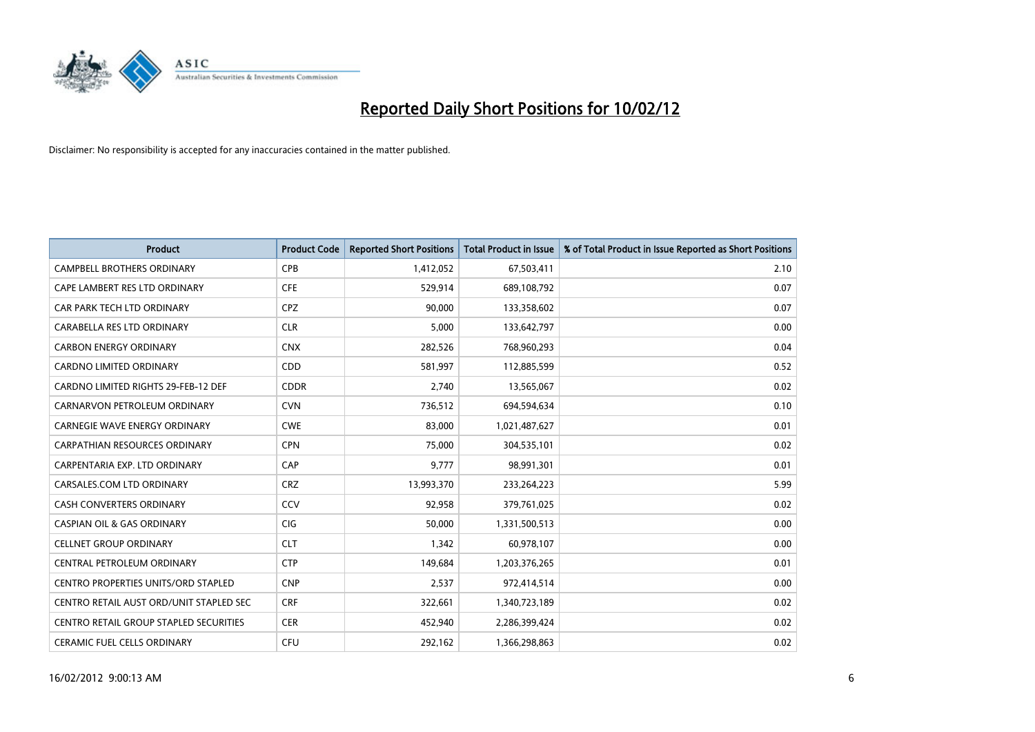

| <b>Product</b>                             | <b>Product Code</b> | <b>Reported Short Positions</b> | <b>Total Product in Issue</b> | % of Total Product in Issue Reported as Short Positions |
|--------------------------------------------|---------------------|---------------------------------|-------------------------------|---------------------------------------------------------|
| <b>CAMPBELL BROTHERS ORDINARY</b>          | <b>CPB</b>          | 1,412,052                       | 67,503,411                    | 2.10                                                    |
| CAPE LAMBERT RES LTD ORDINARY              | <b>CFE</b>          | 529,914                         | 689,108,792                   | 0.07                                                    |
| CAR PARK TECH LTD ORDINARY                 | <b>CPZ</b>          | 90,000                          | 133,358,602                   | 0.07                                                    |
| CARABELLA RES LTD ORDINARY                 | <b>CLR</b>          | 5,000                           | 133,642,797                   | 0.00                                                    |
| <b>CARBON ENERGY ORDINARY</b>              | <b>CNX</b>          | 282,526                         | 768,960,293                   | 0.04                                                    |
| <b>CARDNO LIMITED ORDINARY</b>             | CDD                 | 581,997                         | 112,885,599                   | 0.52                                                    |
| CARDNO LIMITED RIGHTS 29-FEB-12 DEF        | <b>CDDR</b>         | 2.740                           | 13,565,067                    | 0.02                                                    |
| CARNARVON PETROLEUM ORDINARY               | <b>CVN</b>          | 736,512                         | 694,594,634                   | 0.10                                                    |
| <b>CARNEGIE WAVE ENERGY ORDINARY</b>       | <b>CWE</b>          | 83,000                          | 1,021,487,627                 | 0.01                                                    |
| CARPATHIAN RESOURCES ORDINARY              | <b>CPN</b>          | 75,000                          | 304,535,101                   | 0.02                                                    |
| CARPENTARIA EXP. LTD ORDINARY              | CAP                 | 9,777                           | 98,991,301                    | 0.01                                                    |
| CARSALES.COM LTD ORDINARY                  | <b>CRZ</b>          | 13,993,370                      | 233,264,223                   | 5.99                                                    |
| <b>CASH CONVERTERS ORDINARY</b>            | CCV                 | 92,958                          | 379,761,025                   | 0.02                                                    |
| <b>CASPIAN OIL &amp; GAS ORDINARY</b>      | <b>CIG</b>          | 50.000                          | 1,331,500,513                 | 0.00                                                    |
| <b>CELLNET GROUP ORDINARY</b>              | <b>CLT</b>          | 1,342                           | 60,978,107                    | 0.00                                                    |
| CENTRAL PETROLEUM ORDINARY                 | <b>CTP</b>          | 149,684                         | 1,203,376,265                 | 0.01                                                    |
| <b>CENTRO PROPERTIES UNITS/ORD STAPLED</b> | <b>CNP</b>          | 2,537                           | 972,414,514                   | 0.00                                                    |
| CENTRO RETAIL AUST ORD/UNIT STAPLED SEC    | <b>CRF</b>          | 322,661                         | 1,340,723,189                 | 0.02                                                    |
| CENTRO RETAIL GROUP STAPLED SECURITIES     | <b>CER</b>          | 452,940                         | 2,286,399,424                 | 0.02                                                    |
| <b>CERAMIC FUEL CELLS ORDINARY</b>         | <b>CFU</b>          | 292,162                         | 1,366,298,863                 | 0.02                                                    |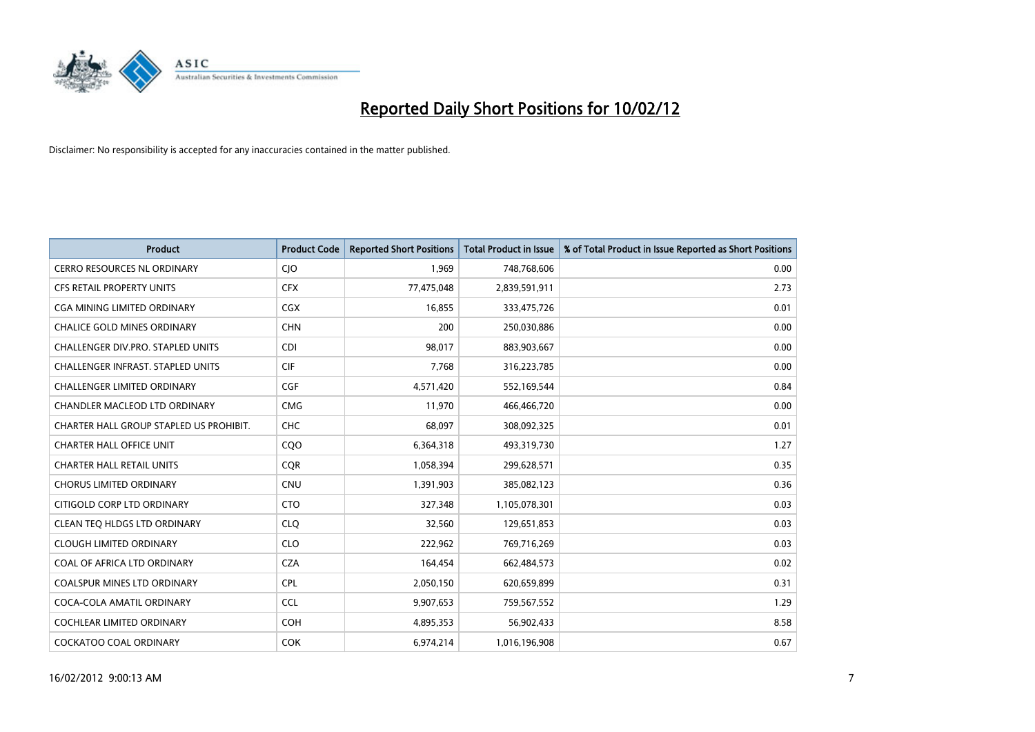

| <b>Product</b>                           | <b>Product Code</b> | <b>Reported Short Positions</b> | <b>Total Product in Issue</b> | % of Total Product in Issue Reported as Short Positions |
|------------------------------------------|---------------------|---------------------------------|-------------------------------|---------------------------------------------------------|
| <b>CERRO RESOURCES NL ORDINARY</b>       | CJO                 | 1,969                           | 748,768,606                   | 0.00                                                    |
| CFS RETAIL PROPERTY UNITS                | <b>CFX</b>          | 77,475,048                      | 2,839,591,911                 | 2.73                                                    |
| CGA MINING LIMITED ORDINARY              | CGX                 | 16,855                          | 333,475,726                   | 0.01                                                    |
| <b>CHALICE GOLD MINES ORDINARY</b>       | <b>CHN</b>          | 200                             | 250,030,886                   | 0.00                                                    |
| CHALLENGER DIV.PRO. STAPLED UNITS        | <b>CDI</b>          | 98,017                          | 883,903,667                   | 0.00                                                    |
| <b>CHALLENGER INFRAST, STAPLED UNITS</b> | <b>CIF</b>          | 7,768                           | 316,223,785                   | 0.00                                                    |
| <b>CHALLENGER LIMITED ORDINARY</b>       | <b>CGF</b>          | 4,571,420                       | 552,169,544                   | 0.84                                                    |
| CHANDLER MACLEOD LTD ORDINARY            | <b>CMG</b>          | 11,970                          | 466,466,720                   | 0.00                                                    |
| CHARTER HALL GROUP STAPLED US PROHIBIT.  | <b>CHC</b>          | 68.097                          | 308,092,325                   | 0.01                                                    |
| <b>CHARTER HALL OFFICE UNIT</b>          | CQO                 | 6,364,318                       | 493,319,730                   | 1.27                                                    |
| <b>CHARTER HALL RETAIL UNITS</b>         | <b>CQR</b>          | 1,058,394                       | 299,628,571                   | 0.35                                                    |
| <b>CHORUS LIMITED ORDINARY</b>           | <b>CNU</b>          | 1,391,903                       | 385,082,123                   | 0.36                                                    |
| CITIGOLD CORP LTD ORDINARY               | <b>CTO</b>          | 327,348                         | 1,105,078,301                 | 0.03                                                    |
| CLEAN TEO HLDGS LTD ORDINARY             | <b>CLO</b>          | 32,560                          | 129,651,853                   | 0.03                                                    |
| <b>CLOUGH LIMITED ORDINARY</b>           | <b>CLO</b>          | 222,962                         | 769,716,269                   | 0.03                                                    |
| COAL OF AFRICA LTD ORDINARY              | <b>CZA</b>          | 164,454                         | 662,484,573                   | 0.02                                                    |
| COALSPUR MINES LTD ORDINARY              | <b>CPL</b>          | 2,050,150                       | 620,659,899                   | 0.31                                                    |
| COCA-COLA AMATIL ORDINARY                | <b>CCL</b>          | 9,907,653                       | 759,567,552                   | 1.29                                                    |
| <b>COCHLEAR LIMITED ORDINARY</b>         | <b>COH</b>          | 4,895,353                       | 56,902,433                    | 8.58                                                    |
| <b>COCKATOO COAL ORDINARY</b>            | <b>COK</b>          | 6,974,214                       | 1,016,196,908                 | 0.67                                                    |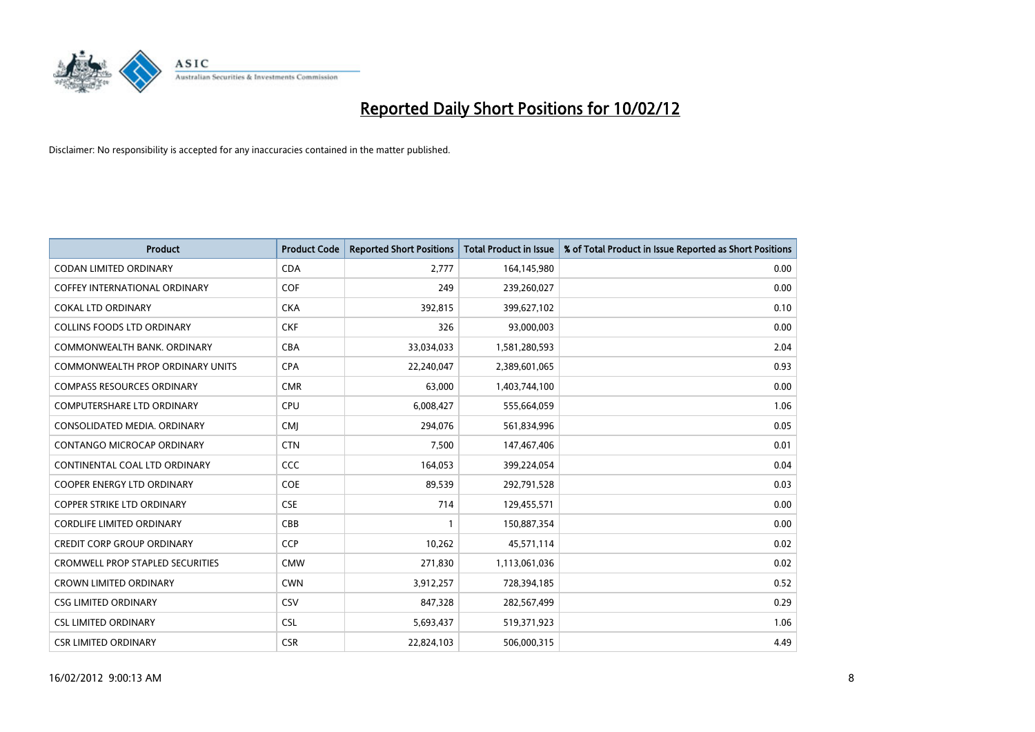

| <b>Product</b>                          | <b>Product Code</b> | <b>Reported Short Positions</b> | <b>Total Product in Issue</b> | % of Total Product in Issue Reported as Short Positions |
|-----------------------------------------|---------------------|---------------------------------|-------------------------------|---------------------------------------------------------|
| <b>CODAN LIMITED ORDINARY</b>           | <b>CDA</b>          | 2.777                           | 164,145,980                   | 0.00                                                    |
| COFFEY INTERNATIONAL ORDINARY           | <b>COF</b>          | 249                             | 239,260,027                   | 0.00                                                    |
| <b>COKAL LTD ORDINARY</b>               | <b>CKA</b>          | 392,815                         | 399,627,102                   | 0.10                                                    |
| COLLINS FOODS LTD ORDINARY              | <b>CKF</b>          | 326                             | 93,000,003                    | 0.00                                                    |
| COMMONWEALTH BANK, ORDINARY             | <b>CBA</b>          | 33,034,033                      | 1,581,280,593                 | 2.04                                                    |
| <b>COMMONWEALTH PROP ORDINARY UNITS</b> | <b>CPA</b>          | 22,240,047                      | 2,389,601,065                 | 0.93                                                    |
| <b>COMPASS RESOURCES ORDINARY</b>       | <b>CMR</b>          | 63.000                          | 1,403,744,100                 | 0.00                                                    |
| <b>COMPUTERSHARE LTD ORDINARY</b>       | <b>CPU</b>          | 6,008,427                       | 555,664,059                   | 1.06                                                    |
| CONSOLIDATED MEDIA, ORDINARY            | <b>CMI</b>          | 294,076                         | 561,834,996                   | 0.05                                                    |
| CONTANGO MICROCAP ORDINARY              | <b>CTN</b>          | 7,500                           | 147,467,406                   | 0.01                                                    |
| CONTINENTAL COAL LTD ORDINARY           | <b>CCC</b>          | 164,053                         | 399,224,054                   | 0.04                                                    |
| <b>COOPER ENERGY LTD ORDINARY</b>       | <b>COE</b>          | 89,539                          | 292,791,528                   | 0.03                                                    |
| <b>COPPER STRIKE LTD ORDINARY</b>       | <b>CSE</b>          | 714                             | 129,455,571                   | 0.00                                                    |
| <b>CORDLIFE LIMITED ORDINARY</b>        | CBB                 | $\mathbf{1}$                    | 150,887,354                   | 0.00                                                    |
| <b>CREDIT CORP GROUP ORDINARY</b>       | CCP                 | 10,262                          | 45,571,114                    | 0.02                                                    |
| <b>CROMWELL PROP STAPLED SECURITIES</b> | <b>CMW</b>          | 271,830                         | 1,113,061,036                 | 0.02                                                    |
| <b>CROWN LIMITED ORDINARY</b>           | <b>CWN</b>          | 3,912,257                       | 728,394,185                   | 0.52                                                    |
| <b>CSG LIMITED ORDINARY</b>             | <b>CSV</b>          | 847,328                         | 282,567,499                   | 0.29                                                    |
| <b>CSL LIMITED ORDINARY</b>             | <b>CSL</b>          | 5,693,437                       | 519,371,923                   | 1.06                                                    |
| <b>CSR LIMITED ORDINARY</b>             | <b>CSR</b>          | 22,824,103                      | 506,000,315                   | 4.49                                                    |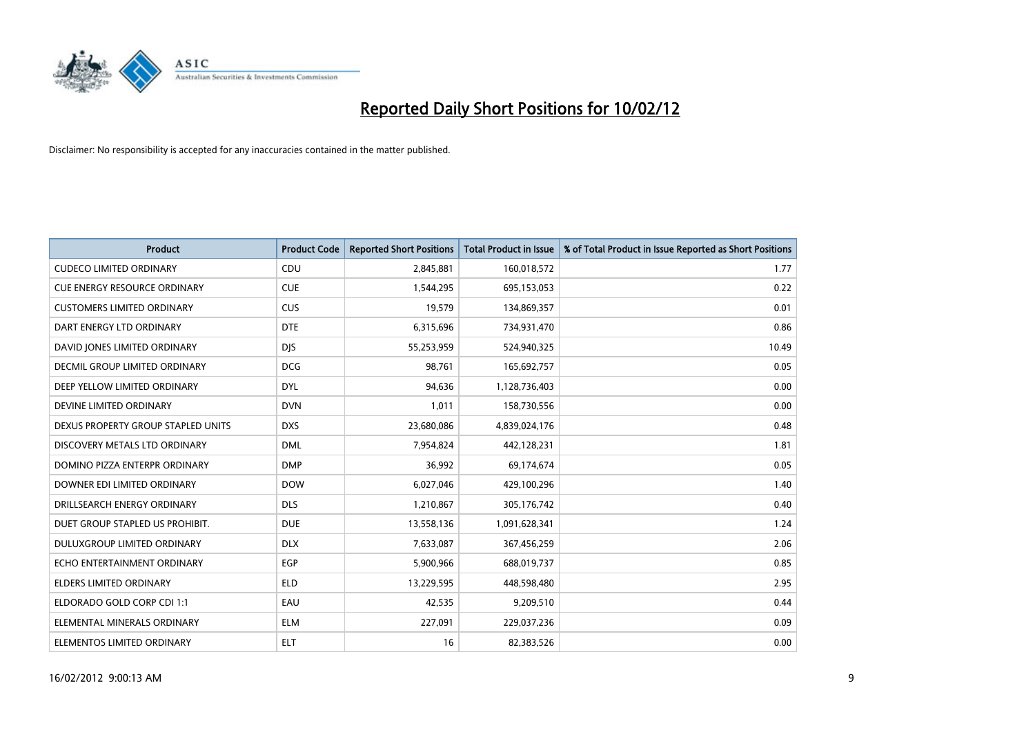

| <b>Product</b>                      | <b>Product Code</b> | <b>Reported Short Positions</b> | <b>Total Product in Issue</b> | % of Total Product in Issue Reported as Short Positions |
|-------------------------------------|---------------------|---------------------------------|-------------------------------|---------------------------------------------------------|
| <b>CUDECO LIMITED ORDINARY</b>      | CDU                 | 2,845,881                       | 160,018,572                   | 1.77                                                    |
| <b>CUE ENERGY RESOURCE ORDINARY</b> | <b>CUE</b>          | 1,544,295                       | 695,153,053                   | 0.22                                                    |
| <b>CUSTOMERS LIMITED ORDINARY</b>   | <b>CUS</b>          | 19,579                          | 134,869,357                   | 0.01                                                    |
| DART ENERGY LTD ORDINARY            | <b>DTE</b>          | 6,315,696                       | 734,931,470                   | 0.86                                                    |
| DAVID JONES LIMITED ORDINARY        | <b>DJS</b>          | 55,253,959                      | 524,940,325                   | 10.49                                                   |
| DECMIL GROUP LIMITED ORDINARY       | <b>DCG</b>          | 98,761                          | 165,692,757                   | 0.05                                                    |
| DEEP YELLOW LIMITED ORDINARY        | <b>DYL</b>          | 94,636                          | 1,128,736,403                 | 0.00                                                    |
| DEVINE LIMITED ORDINARY             | <b>DVN</b>          | 1,011                           | 158,730,556                   | 0.00                                                    |
| DEXUS PROPERTY GROUP STAPLED UNITS  | <b>DXS</b>          | 23,680,086                      | 4,839,024,176                 | 0.48                                                    |
| DISCOVERY METALS LTD ORDINARY       | <b>DML</b>          | 7,954,824                       | 442,128,231                   | 1.81                                                    |
| DOMINO PIZZA ENTERPR ORDINARY       | <b>DMP</b>          | 36,992                          | 69,174,674                    | 0.05                                                    |
| DOWNER EDI LIMITED ORDINARY         | <b>DOW</b>          | 6,027,046                       | 429,100,296                   | 1.40                                                    |
| DRILLSEARCH ENERGY ORDINARY         | <b>DLS</b>          | 1,210,867                       | 305,176,742                   | 0.40                                                    |
| DUET GROUP STAPLED US PROHIBIT.     | <b>DUE</b>          | 13,558,136                      | 1,091,628,341                 | 1.24                                                    |
| DULUXGROUP LIMITED ORDINARY         | <b>DLX</b>          | 7,633,087                       | 367,456,259                   | 2.06                                                    |
| ECHO ENTERTAINMENT ORDINARY         | EGP                 | 5,900,966                       | 688,019,737                   | 0.85                                                    |
| ELDERS LIMITED ORDINARY             | <b>ELD</b>          | 13,229,595                      | 448,598,480                   | 2.95                                                    |
| ELDORADO GOLD CORP CDI 1:1          | EAU                 | 42,535                          | 9,209,510                     | 0.44                                                    |
| ELEMENTAL MINERALS ORDINARY         | <b>ELM</b>          | 227,091                         | 229,037,236                   | 0.09                                                    |
| ELEMENTOS LIMITED ORDINARY          | ELT                 | 16                              | 82,383,526                    | 0.00                                                    |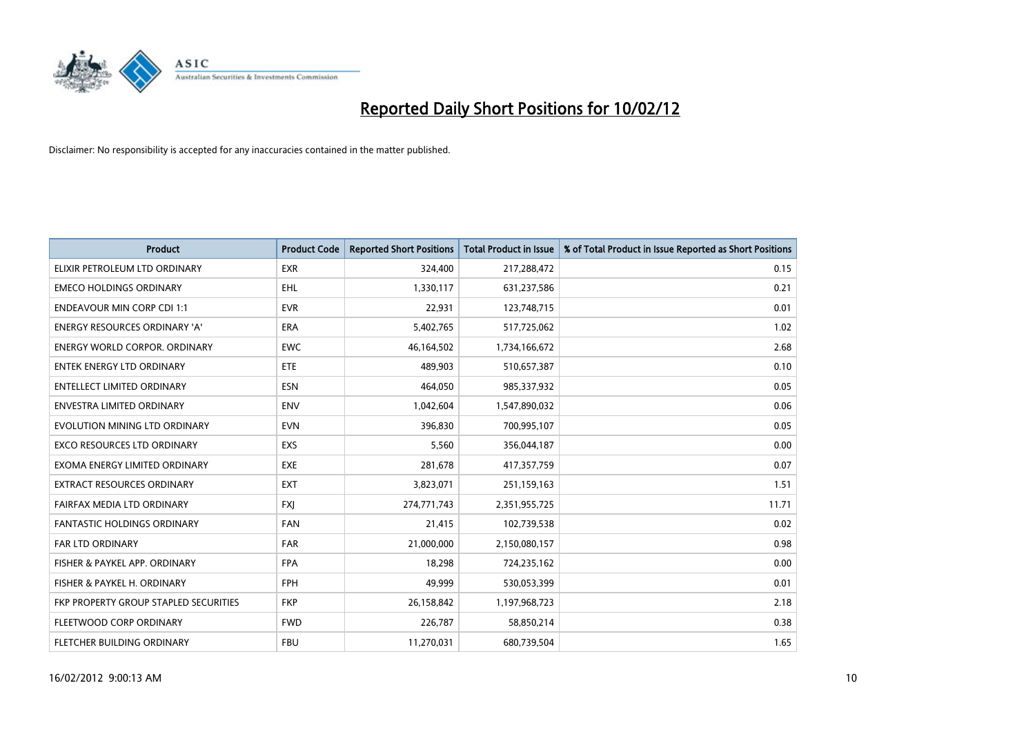

| <b>Product</b>                        | <b>Product Code</b> | <b>Reported Short Positions</b> | <b>Total Product in Issue</b> | % of Total Product in Issue Reported as Short Positions |
|---------------------------------------|---------------------|---------------------------------|-------------------------------|---------------------------------------------------------|
| ELIXIR PETROLEUM LTD ORDINARY         | <b>EXR</b>          | 324,400                         | 217,288,472                   | 0.15                                                    |
| <b>EMECO HOLDINGS ORDINARY</b>        | EHL                 | 1,330,117                       | 631,237,586                   | 0.21                                                    |
| <b>ENDEAVOUR MIN CORP CDI 1:1</b>     | <b>EVR</b>          | 22,931                          | 123,748,715                   | 0.01                                                    |
| ENERGY RESOURCES ORDINARY 'A'         | <b>ERA</b>          | 5,402,765                       | 517,725,062                   | 1.02                                                    |
| <b>ENERGY WORLD CORPOR, ORDINARY</b>  | <b>EWC</b>          | 46,164,502                      | 1,734,166,672                 | 2.68                                                    |
| <b>ENTEK ENERGY LTD ORDINARY</b>      | <b>ETE</b>          | 489,903                         | 510,657,387                   | 0.10                                                    |
| <b>ENTELLECT LIMITED ORDINARY</b>     | <b>ESN</b>          | 464,050                         | 985,337,932                   | 0.05                                                    |
| ENVESTRA LIMITED ORDINARY             | <b>ENV</b>          | 1,042,604                       | 1,547,890,032                 | 0.06                                                    |
| EVOLUTION MINING LTD ORDINARY         | <b>EVN</b>          | 396,830                         | 700,995,107                   | 0.05                                                    |
| <b>EXCO RESOURCES LTD ORDINARY</b>    | EXS                 | 5,560                           | 356,044,187                   | 0.00                                                    |
| EXOMA ENERGY LIMITED ORDINARY         | <b>EXE</b>          | 281,678                         | 417,357,759                   | 0.07                                                    |
| <b>EXTRACT RESOURCES ORDINARY</b>     | <b>EXT</b>          | 3,823,071                       | 251,159,163                   | 1.51                                                    |
| FAIRFAX MEDIA LTD ORDINARY            | <b>FXI</b>          | 274,771,743                     | 2,351,955,725                 | 11.71                                                   |
| <b>FANTASTIC HOLDINGS ORDINARY</b>    | <b>FAN</b>          | 21,415                          | 102,739,538                   | 0.02                                                    |
| <b>FAR LTD ORDINARY</b>               | <b>FAR</b>          | 21,000,000                      | 2,150,080,157                 | 0.98                                                    |
| FISHER & PAYKEL APP. ORDINARY         | <b>FPA</b>          | 18,298                          | 724,235,162                   | 0.00                                                    |
| FISHER & PAYKEL H. ORDINARY           | FPH                 | 49,999                          | 530,053,399                   | 0.01                                                    |
| FKP PROPERTY GROUP STAPLED SECURITIES | <b>FKP</b>          | 26,158,842                      | 1,197,968,723                 | 2.18                                                    |
| FLEETWOOD CORP ORDINARY               | <b>FWD</b>          | 226,787                         | 58,850,214                    | 0.38                                                    |
| FLETCHER BUILDING ORDINARY            | <b>FBU</b>          | 11,270,031                      | 680,739,504                   | 1.65                                                    |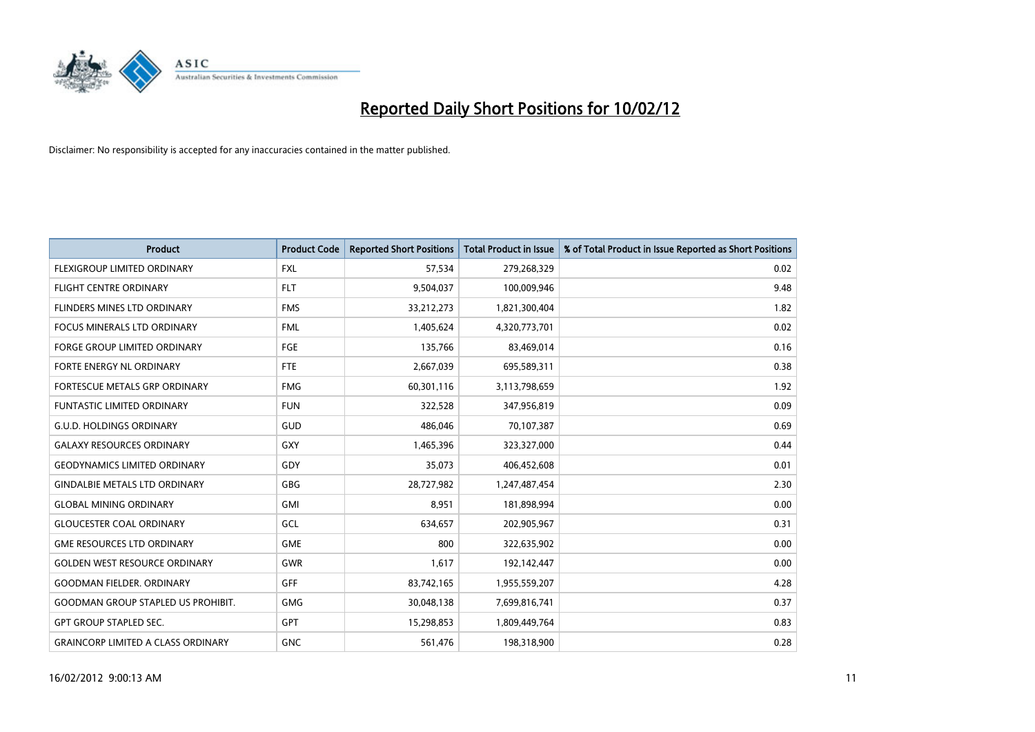

| <b>Product</b>                            | <b>Product Code</b> | <b>Reported Short Positions</b> | <b>Total Product in Issue</b> | % of Total Product in Issue Reported as Short Positions |
|-------------------------------------------|---------------------|---------------------------------|-------------------------------|---------------------------------------------------------|
| FLEXIGROUP LIMITED ORDINARY               | <b>FXL</b>          | 57,534                          | 279,268,329                   | 0.02                                                    |
| <b>FLIGHT CENTRE ORDINARY</b>             | <b>FLT</b>          | 9,504,037                       | 100,009,946                   | 9.48                                                    |
| FLINDERS MINES LTD ORDINARY               | <b>FMS</b>          | 33,212,273                      | 1,821,300,404                 | 1.82                                                    |
| FOCUS MINERALS LTD ORDINARY               | <b>FML</b>          | 1,405,624                       | 4,320,773,701                 | 0.02                                                    |
| <b>FORGE GROUP LIMITED ORDINARY</b>       | FGE                 | 135,766                         | 83,469,014                    | 0.16                                                    |
| FORTE ENERGY NL ORDINARY                  | FTE                 | 2,667,039                       | 695,589,311                   | 0.38                                                    |
| <b>FORTESCUE METALS GRP ORDINARY</b>      | <b>FMG</b>          | 60,301,116                      | 3,113,798,659                 | 1.92                                                    |
| <b>FUNTASTIC LIMITED ORDINARY</b>         | <b>FUN</b>          | 322,528                         | 347,956,819                   | 0.09                                                    |
| <b>G.U.D. HOLDINGS ORDINARY</b>           | GUD                 | 486,046                         | 70,107,387                    | 0.69                                                    |
| <b>GALAXY RESOURCES ORDINARY</b>          | GXY                 | 1,465,396                       | 323,327,000                   | 0.44                                                    |
| <b>GEODYNAMICS LIMITED ORDINARY</b>       | GDY                 | 35,073                          | 406,452,608                   | 0.01                                                    |
| <b>GINDALBIE METALS LTD ORDINARY</b>      | GBG                 | 28,727,982                      | 1,247,487,454                 | 2.30                                                    |
| <b>GLOBAL MINING ORDINARY</b>             | GMI                 | 8,951                           | 181,898,994                   | 0.00                                                    |
| <b>GLOUCESTER COAL ORDINARY</b>           | GCL                 | 634,657                         | 202,905,967                   | 0.31                                                    |
| <b>GME RESOURCES LTD ORDINARY</b>         | <b>GME</b>          | 800                             | 322,635,902                   | 0.00                                                    |
| <b>GOLDEN WEST RESOURCE ORDINARY</b>      | GWR                 | 1,617                           | 192,142,447                   | 0.00                                                    |
| <b>GOODMAN FIELDER. ORDINARY</b>          | <b>GFF</b>          | 83,742,165                      | 1,955,559,207                 | 4.28                                                    |
| <b>GOODMAN GROUP STAPLED US PROHIBIT.</b> | <b>GMG</b>          | 30,048,138                      | 7,699,816,741                 | 0.37                                                    |
| <b>GPT GROUP STAPLED SEC.</b>             | <b>GPT</b>          | 15,298,853                      | 1,809,449,764                 | 0.83                                                    |
| <b>GRAINCORP LIMITED A CLASS ORDINARY</b> | <b>GNC</b>          | 561,476                         | 198,318,900                   | 0.28                                                    |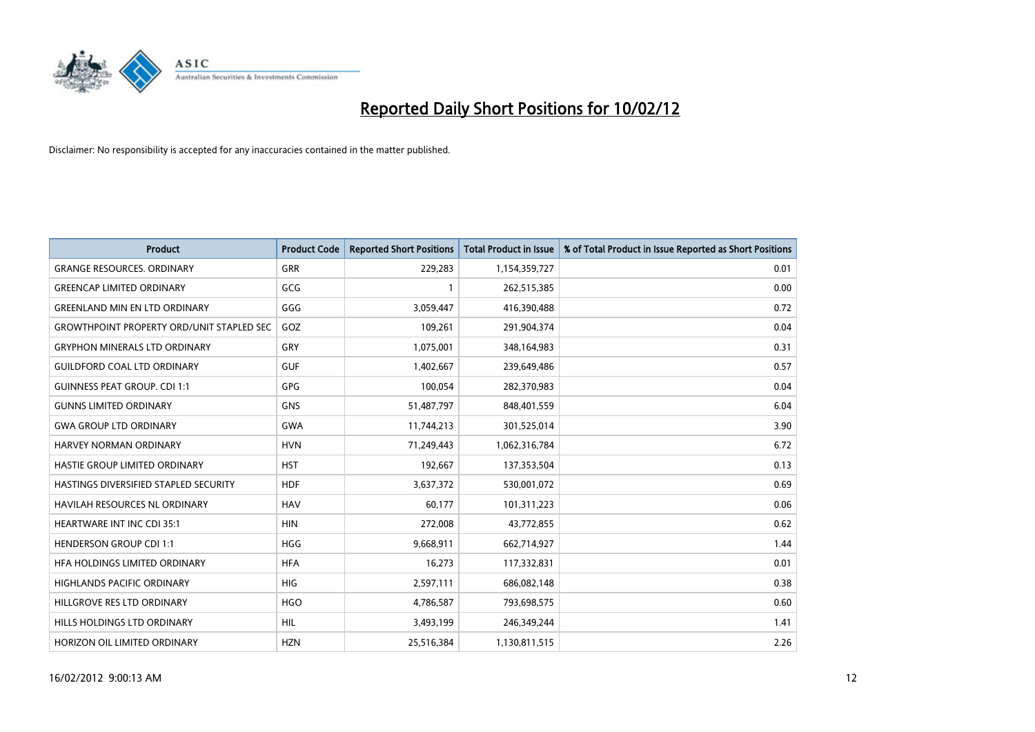

| <b>Product</b>                                   | <b>Product Code</b> | <b>Reported Short Positions</b> | <b>Total Product in Issue</b> | % of Total Product in Issue Reported as Short Positions |
|--------------------------------------------------|---------------------|---------------------------------|-------------------------------|---------------------------------------------------------|
| <b>GRANGE RESOURCES, ORDINARY</b>                | GRR                 | 229,283                         | 1,154,359,727                 | 0.01                                                    |
| <b>GREENCAP LIMITED ORDINARY</b>                 | GCG                 |                                 | 262,515,385                   | 0.00                                                    |
| <b>GREENLAND MIN EN LTD ORDINARY</b>             | GGG                 | 3,059,447                       | 416,390,488                   | 0.72                                                    |
| <b>GROWTHPOINT PROPERTY ORD/UNIT STAPLED SEC</b> | GOZ                 | 109,261                         | 291,904,374                   | 0.04                                                    |
| <b>GRYPHON MINERALS LTD ORDINARY</b>             | GRY                 | 1,075,001                       | 348,164,983                   | 0.31                                                    |
| <b>GUILDFORD COAL LTD ORDINARY</b>               | <b>GUF</b>          | 1,402,667                       | 239,649,486                   | 0.57                                                    |
| <b>GUINNESS PEAT GROUP. CDI 1:1</b>              | GPG                 | 100,054                         | 282,370,983                   | 0.04                                                    |
| <b>GUNNS LIMITED ORDINARY</b>                    | <b>GNS</b>          | 51,487,797                      | 848,401,559                   | 6.04                                                    |
| <b>GWA GROUP LTD ORDINARY</b>                    | <b>GWA</b>          | 11,744,213                      | 301,525,014                   | 3.90                                                    |
| <b>HARVEY NORMAN ORDINARY</b>                    | <b>HVN</b>          | 71,249,443                      | 1,062,316,784                 | 6.72                                                    |
| HASTIE GROUP LIMITED ORDINARY                    | <b>HST</b>          | 192,667                         | 137,353,504                   | 0.13                                                    |
| HASTINGS DIVERSIFIED STAPLED SECURITY            | <b>HDF</b>          | 3,637,372                       | 530,001,072                   | 0.69                                                    |
| HAVILAH RESOURCES NL ORDINARY                    | <b>HAV</b>          | 60,177                          | 101,311,223                   | 0.06                                                    |
| <b>HEARTWARE INT INC CDI 35:1</b>                | <b>HIN</b>          | 272,008                         | 43,772,855                    | 0.62                                                    |
| <b>HENDERSON GROUP CDI 1:1</b>                   | <b>HGG</b>          | 9,668,911                       | 662,714,927                   | 1.44                                                    |
| HFA HOLDINGS LIMITED ORDINARY                    | <b>HFA</b>          | 16,273                          | 117,332,831                   | 0.01                                                    |
| HIGHLANDS PACIFIC ORDINARY                       | <b>HIG</b>          | 2,597,111                       | 686,082,148                   | 0.38                                                    |
| HILLGROVE RES LTD ORDINARY                       | <b>HGO</b>          | 4,786,587                       | 793,698,575                   | 0.60                                                    |
| HILLS HOLDINGS LTD ORDINARY                      | <b>HIL</b>          | 3,493,199                       | 246,349,244                   | 1.41                                                    |
| HORIZON OIL LIMITED ORDINARY                     | <b>HZN</b>          | 25,516,384                      | 1,130,811,515                 | 2.26                                                    |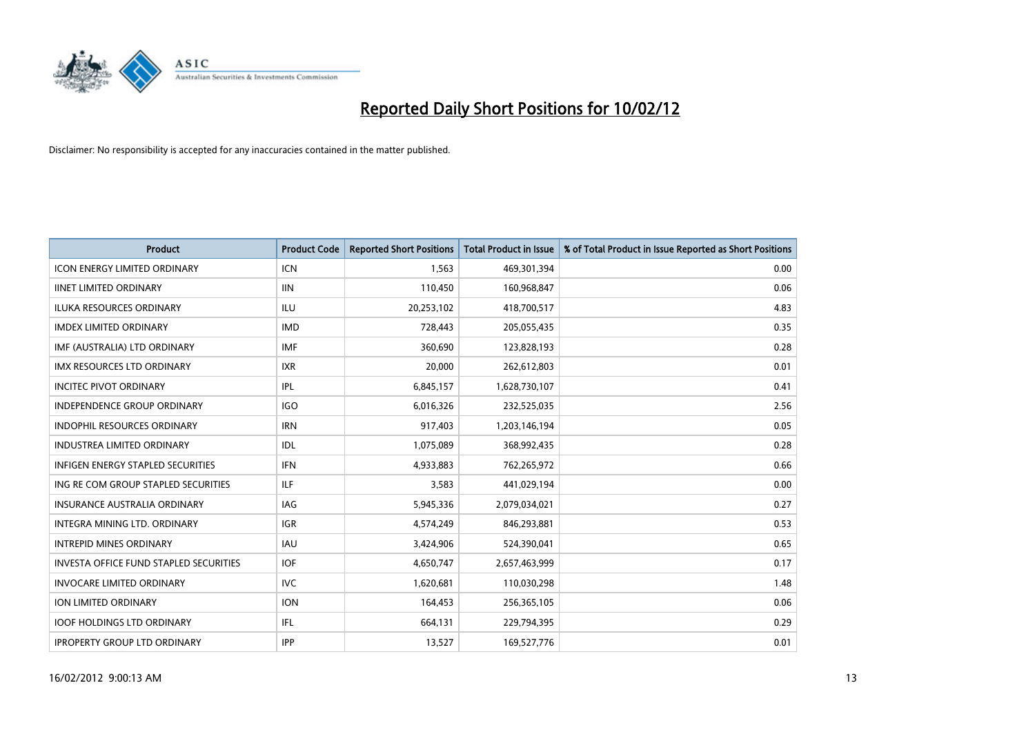

| <b>Product</b>                                | <b>Product Code</b> | <b>Reported Short Positions</b> | <b>Total Product in Issue</b> | % of Total Product in Issue Reported as Short Positions |
|-----------------------------------------------|---------------------|---------------------------------|-------------------------------|---------------------------------------------------------|
| <b>ICON ENERGY LIMITED ORDINARY</b>           | <b>ICN</b>          | 1,563                           | 469,301,394                   | 0.00                                                    |
| <b>IINET LIMITED ORDINARY</b>                 | <b>IIN</b>          | 110,450                         | 160,968,847                   | 0.06                                                    |
| <b>ILUKA RESOURCES ORDINARY</b>               | ILU                 | 20,253,102                      | 418,700,517                   | 4.83                                                    |
| <b>IMDEX LIMITED ORDINARY</b>                 | <b>IMD</b>          | 728,443                         | 205,055,435                   | 0.35                                                    |
| IMF (AUSTRALIA) LTD ORDINARY                  | <b>IMF</b>          | 360,690                         | 123,828,193                   | 0.28                                                    |
| <b>IMX RESOURCES LTD ORDINARY</b>             | <b>IXR</b>          | 20,000                          | 262,612,803                   | 0.01                                                    |
| <b>INCITEC PIVOT ORDINARY</b>                 | IPL                 | 6,845,157                       | 1,628,730,107                 | 0.41                                                    |
| INDEPENDENCE GROUP ORDINARY                   | <b>IGO</b>          | 6,016,326                       | 232,525,035                   | 2.56                                                    |
| <b>INDOPHIL RESOURCES ORDINARY</b>            | <b>IRN</b>          | 917,403                         | 1,203,146,194                 | 0.05                                                    |
| <b>INDUSTREA LIMITED ORDINARY</b>             | IDL.                | 1,075,089                       | 368,992,435                   | 0.28                                                    |
| INFIGEN ENERGY STAPLED SECURITIES             | <b>IFN</b>          | 4,933,883                       | 762,265,972                   | 0.66                                                    |
| ING RE COM GROUP STAPLED SECURITIES           | ILF.                | 3,583                           | 441,029,194                   | 0.00                                                    |
| <b>INSURANCE AUSTRALIA ORDINARY</b>           | <b>IAG</b>          | 5,945,336                       | 2,079,034,021                 | 0.27                                                    |
| INTEGRA MINING LTD, ORDINARY                  | IGR                 | 4,574,249                       | 846,293,881                   | 0.53                                                    |
| <b>INTREPID MINES ORDINARY</b>                | <b>IAU</b>          | 3,424,906                       | 524,390,041                   | 0.65                                                    |
| <b>INVESTA OFFICE FUND STAPLED SECURITIES</b> | <b>IOF</b>          | 4,650,747                       | 2,657,463,999                 | 0.17                                                    |
| <b>INVOCARE LIMITED ORDINARY</b>              | <b>IVC</b>          | 1,620,681                       | 110,030,298                   | 1.48                                                    |
| ION LIMITED ORDINARY                          | <b>ION</b>          | 164,453                         | 256,365,105                   | 0.06                                                    |
| <b>IOOF HOLDINGS LTD ORDINARY</b>             | IFL                 | 664,131                         | 229,794,395                   | 0.29                                                    |
| <b>IPROPERTY GROUP LTD ORDINARY</b>           | <b>IPP</b>          | 13,527                          | 169,527,776                   | 0.01                                                    |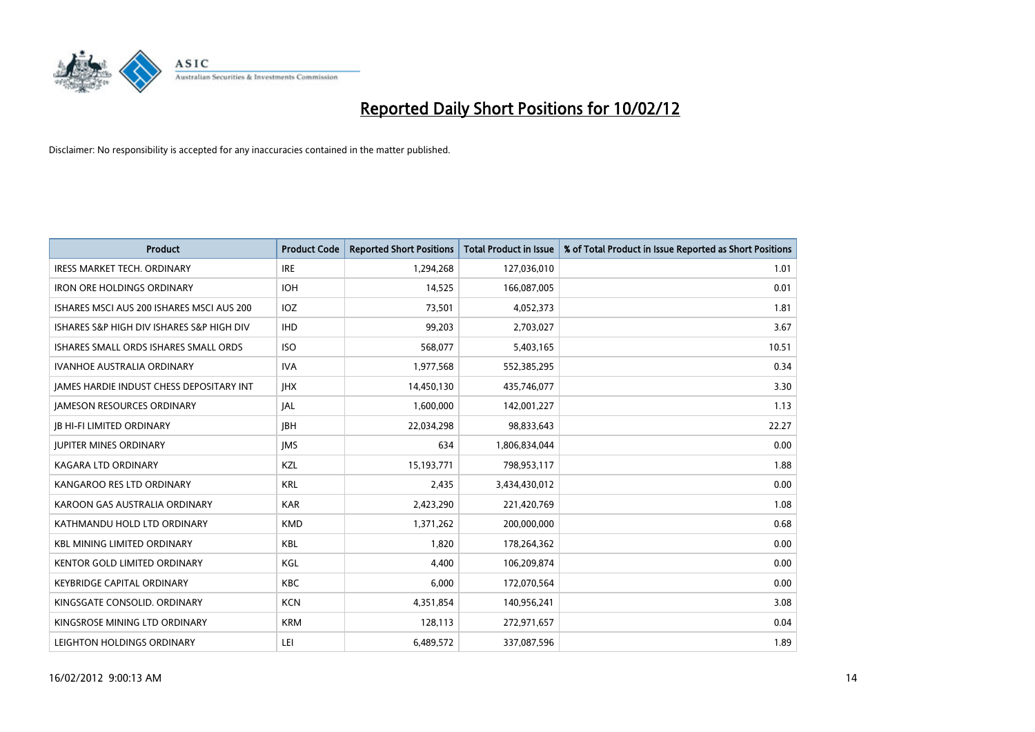

| <b>Product</b>                            | <b>Product Code</b> | <b>Reported Short Positions</b> | <b>Total Product in Issue</b> | % of Total Product in Issue Reported as Short Positions |
|-------------------------------------------|---------------------|---------------------------------|-------------------------------|---------------------------------------------------------|
| <b>IRESS MARKET TECH. ORDINARY</b>        | <b>IRE</b>          | 1,294,268                       | 127,036,010                   | 1.01                                                    |
| <b>IRON ORE HOLDINGS ORDINARY</b>         | <b>IOH</b>          | 14,525                          | 166,087,005                   | 0.01                                                    |
| ISHARES MSCI AUS 200 ISHARES MSCI AUS 200 | IOZ                 | 73,501                          | 4,052,373                     | 1.81                                                    |
| ISHARES S&P HIGH DIV ISHARES S&P HIGH DIV | <b>IHD</b>          | 99,203                          | 2,703,027                     | 3.67                                                    |
| ISHARES SMALL ORDS ISHARES SMALL ORDS     | <b>ISO</b>          | 568,077                         | 5,403,165                     | 10.51                                                   |
| <b>IVANHOE AUSTRALIA ORDINARY</b>         | <b>IVA</b>          | 1,977,568                       | 552,385,295                   | 0.34                                                    |
| JAMES HARDIE INDUST CHESS DEPOSITARY INT  | <b>IHX</b>          | 14,450,130                      | 435,746,077                   | 3.30                                                    |
| <b>JAMESON RESOURCES ORDINARY</b>         | <b>JAL</b>          | 1,600,000                       | 142,001,227                   | 1.13                                                    |
| <b>JB HI-FI LIMITED ORDINARY</b>          | <b>IBH</b>          | 22,034,298                      | 98,833,643                    | 22.27                                                   |
| <b>JUPITER MINES ORDINARY</b>             | <b>IMS</b>          | 634                             | 1,806,834,044                 | 0.00                                                    |
| KAGARA LTD ORDINARY                       | KZL                 | 15,193,771                      | 798,953,117                   | 1.88                                                    |
| KANGAROO RES LTD ORDINARY                 | <b>KRL</b>          | 2,435                           | 3,434,430,012                 | 0.00                                                    |
| KAROON GAS AUSTRALIA ORDINARY             | <b>KAR</b>          | 2,423,290                       | 221,420,769                   | 1.08                                                    |
| KATHMANDU HOLD LTD ORDINARY               | <b>KMD</b>          | 1,371,262                       | 200,000,000                   | 0.68                                                    |
| <b>KBL MINING LIMITED ORDINARY</b>        | <b>KBL</b>          | 1,820                           | 178,264,362                   | 0.00                                                    |
| KENTOR GOLD LIMITED ORDINARY              | KGL                 | 4,400                           | 106,209,874                   | 0.00                                                    |
| KEYBRIDGE CAPITAL ORDINARY                | KBC                 | 6,000                           | 172,070,564                   | 0.00                                                    |
| KINGSGATE CONSOLID. ORDINARY              | <b>KCN</b>          | 4,351,854                       | 140,956,241                   | 3.08                                                    |
| KINGSROSE MINING LTD ORDINARY             | <b>KRM</b>          | 128,113                         | 272,971,657                   | 0.04                                                    |
| LEIGHTON HOLDINGS ORDINARY                | LEI                 | 6,489,572                       | 337,087,596                   | 1.89                                                    |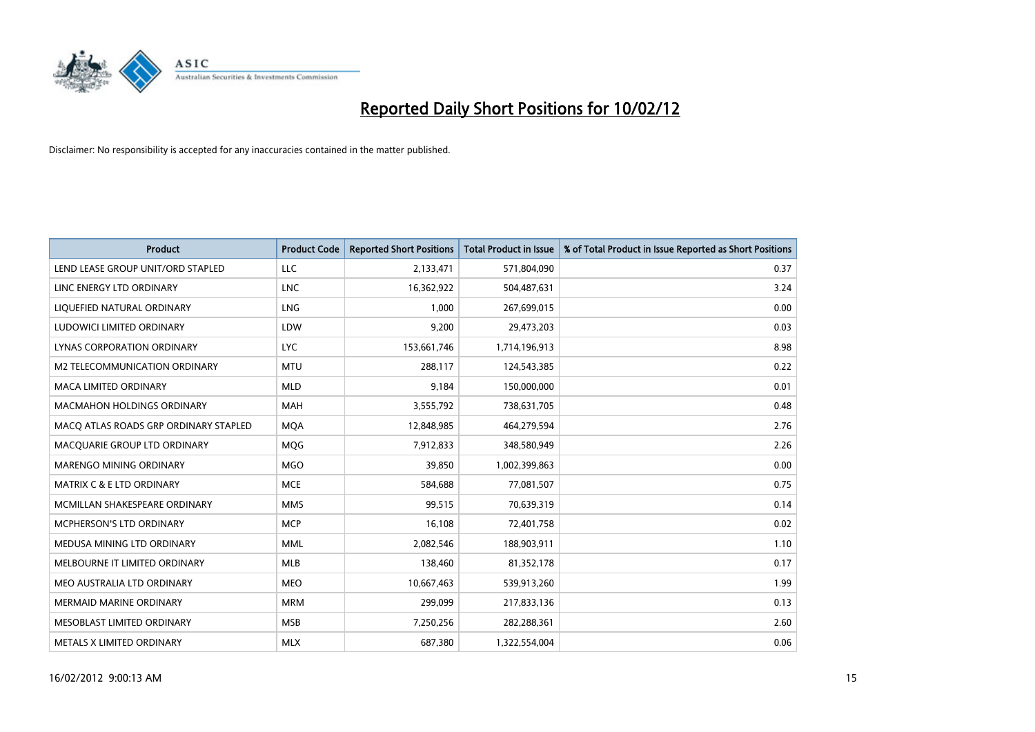

| <b>Product</b>                        | <b>Product Code</b> | <b>Reported Short Positions</b> | <b>Total Product in Issue</b> | % of Total Product in Issue Reported as Short Positions |
|---------------------------------------|---------------------|---------------------------------|-------------------------------|---------------------------------------------------------|
| LEND LEASE GROUP UNIT/ORD STAPLED     | LLC                 | 2,133,471                       | 571,804,090                   | 0.37                                                    |
| LINC ENERGY LTD ORDINARY              | <b>LNC</b>          | 16,362,922                      | 504,487,631                   | 3.24                                                    |
| LIQUEFIED NATURAL ORDINARY            | LNG                 | 1,000                           | 267,699,015                   | 0.00                                                    |
| LUDOWICI LIMITED ORDINARY             | LDW                 | 9,200                           | 29,473,203                    | 0.03                                                    |
| LYNAS CORPORATION ORDINARY            | <b>LYC</b>          | 153,661,746                     | 1,714,196,913                 | 8.98                                                    |
| M2 TELECOMMUNICATION ORDINARY         | <b>MTU</b>          | 288,117                         | 124,543,385                   | 0.22                                                    |
| <b>MACA LIMITED ORDINARY</b>          | <b>MLD</b>          | 9,184                           | 150,000,000                   | 0.01                                                    |
| <b>MACMAHON HOLDINGS ORDINARY</b>     | <b>MAH</b>          | 3,555,792                       | 738,631,705                   | 0.48                                                    |
| MACO ATLAS ROADS GRP ORDINARY STAPLED | <b>MOA</b>          | 12,848,985                      | 464,279,594                   | 2.76                                                    |
| MACQUARIE GROUP LTD ORDINARY          | <b>MOG</b>          | 7,912,833                       | 348,580,949                   | 2.26                                                    |
| MARENGO MINING ORDINARY               | <b>MGO</b>          | 39,850                          | 1,002,399,863                 | 0.00                                                    |
| <b>MATRIX C &amp; E LTD ORDINARY</b>  | <b>MCE</b>          | 584,688                         | 77,081,507                    | 0.75                                                    |
| MCMILLAN SHAKESPEARE ORDINARY         | <b>MMS</b>          | 99,515                          | 70,639,319                    | 0.14                                                    |
| <b>MCPHERSON'S LTD ORDINARY</b>       | <b>MCP</b>          | 16,108                          | 72,401,758                    | 0.02                                                    |
| MEDUSA MINING LTD ORDINARY            | <b>MML</b>          | 2,082,546                       | 188,903,911                   | 1.10                                                    |
| MELBOURNE IT LIMITED ORDINARY         | <b>MLB</b>          | 138,460                         | 81,352,178                    | 0.17                                                    |
| MEO AUSTRALIA LTD ORDINARY            | MEO                 | 10,667,463                      | 539,913,260                   | 1.99                                                    |
| <b>MERMAID MARINE ORDINARY</b>        | <b>MRM</b>          | 299,099                         | 217,833,136                   | 0.13                                                    |
| MESOBLAST LIMITED ORDINARY            | <b>MSB</b>          | 7,250,256                       | 282,288,361                   | 2.60                                                    |
| METALS X LIMITED ORDINARY             | <b>MLX</b>          | 687,380                         | 1,322,554,004                 | 0.06                                                    |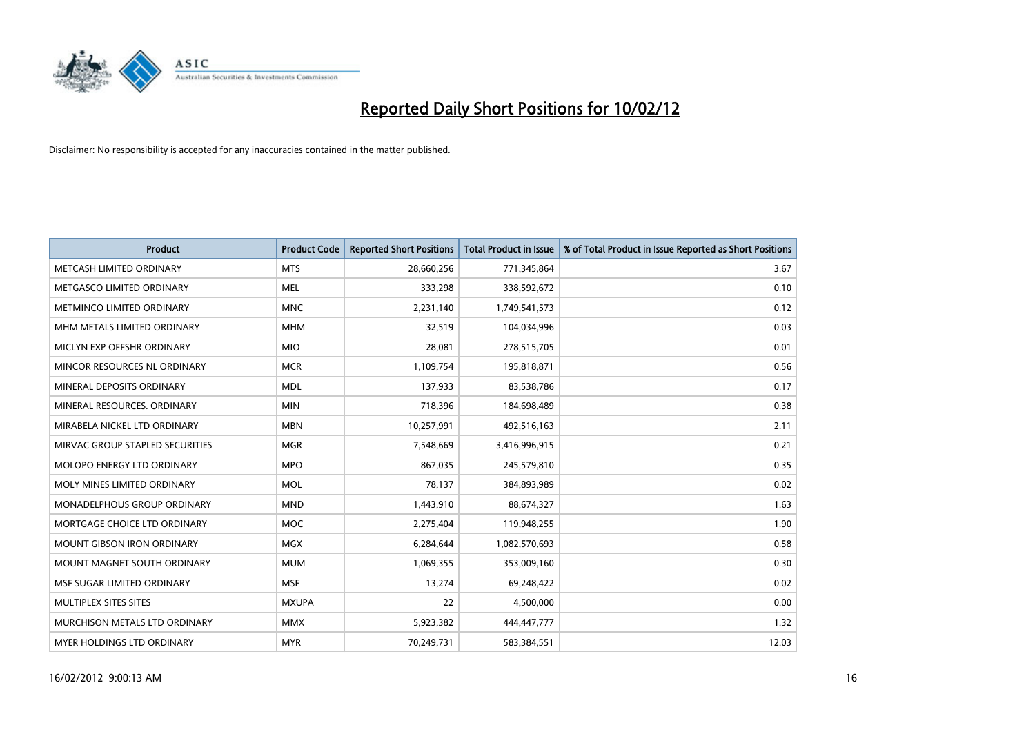

| <b>Product</b>                    | <b>Product Code</b> | <b>Reported Short Positions</b> | <b>Total Product in Issue</b> | % of Total Product in Issue Reported as Short Positions |
|-----------------------------------|---------------------|---------------------------------|-------------------------------|---------------------------------------------------------|
| METCASH LIMITED ORDINARY          | <b>MTS</b>          | 28,660,256                      | 771,345,864                   | 3.67                                                    |
| METGASCO LIMITED ORDINARY         | MEL                 | 333,298                         | 338,592,672                   | 0.10                                                    |
| METMINCO LIMITED ORDINARY         | <b>MNC</b>          | 2,231,140                       | 1,749,541,573                 | 0.12                                                    |
| MHM METALS LIMITED ORDINARY       | <b>MHM</b>          | 32,519                          | 104,034,996                   | 0.03                                                    |
| MICLYN EXP OFFSHR ORDINARY        | <b>MIO</b>          | 28,081                          | 278,515,705                   | 0.01                                                    |
| MINCOR RESOURCES NL ORDINARY      | <b>MCR</b>          | 1,109,754                       | 195,818,871                   | 0.56                                                    |
| MINERAL DEPOSITS ORDINARY         | <b>MDL</b>          | 137,933                         | 83,538,786                    | 0.17                                                    |
| MINERAL RESOURCES. ORDINARY       | <b>MIN</b>          | 718,396                         | 184,698,489                   | 0.38                                                    |
| MIRABELA NICKEL LTD ORDINARY      | <b>MBN</b>          | 10,257,991                      | 492,516,163                   | 2.11                                                    |
| MIRVAC GROUP STAPLED SECURITIES   | <b>MGR</b>          | 7,548,669                       | 3,416,996,915                 | 0.21                                                    |
| MOLOPO ENERGY LTD ORDINARY        | <b>MPO</b>          | 867,035                         | 245,579,810                   | 0.35                                                    |
| MOLY MINES LIMITED ORDINARY       | MOL                 | 78,137                          | 384,893,989                   | 0.02                                                    |
| MONADELPHOUS GROUP ORDINARY       | <b>MND</b>          | 1,443,910                       | 88,674,327                    | 1.63                                                    |
| MORTGAGE CHOICE LTD ORDINARY      | MOC                 | 2,275,404                       | 119,948,255                   | 1.90                                                    |
| <b>MOUNT GIBSON IRON ORDINARY</b> | <b>MGX</b>          | 6,284,644                       | 1,082,570,693                 | 0.58                                                    |
| MOUNT MAGNET SOUTH ORDINARY       | <b>MUM</b>          | 1,069,355                       | 353,009,160                   | 0.30                                                    |
| MSF SUGAR LIMITED ORDINARY        | <b>MSF</b>          | 13,274                          | 69,248,422                    | 0.02                                                    |
| MULTIPLEX SITES SITES             | <b>MXUPA</b>        | 22                              | 4,500,000                     | 0.00                                                    |
| MURCHISON METALS LTD ORDINARY     | <b>MMX</b>          | 5,923,382                       | 444,447,777                   | 1.32                                                    |
| MYER HOLDINGS LTD ORDINARY        | <b>MYR</b>          | 70,249,731                      | 583,384,551                   | 12.03                                                   |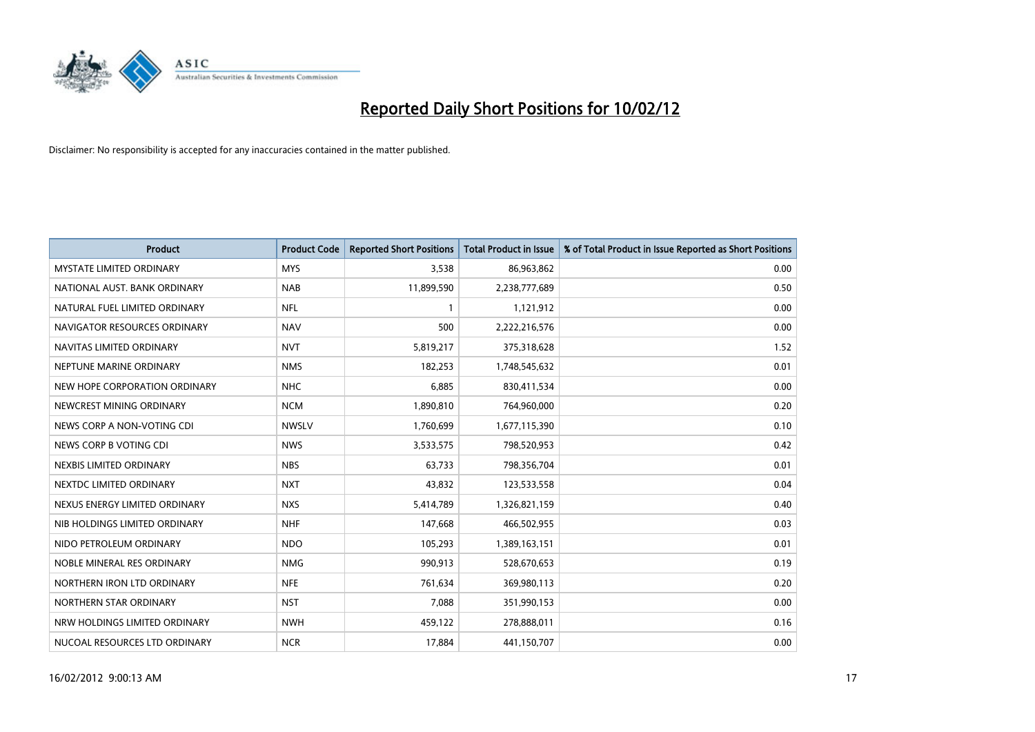

| <b>Product</b>                  | <b>Product Code</b> | <b>Reported Short Positions</b> | <b>Total Product in Issue</b> | % of Total Product in Issue Reported as Short Positions |
|---------------------------------|---------------------|---------------------------------|-------------------------------|---------------------------------------------------------|
| <b>MYSTATE LIMITED ORDINARY</b> | <b>MYS</b>          | 3,538                           | 86,963,862                    | 0.00                                                    |
| NATIONAL AUST. BANK ORDINARY    | <b>NAB</b>          | 11,899,590                      | 2,238,777,689                 | 0.50                                                    |
| NATURAL FUEL LIMITED ORDINARY   | NFL                 | $\mathbf{1}$                    | 1,121,912                     | 0.00                                                    |
| NAVIGATOR RESOURCES ORDINARY    | <b>NAV</b>          | 500                             | 2,222,216,576                 | 0.00                                                    |
| NAVITAS LIMITED ORDINARY        | <b>NVT</b>          | 5,819,217                       | 375,318,628                   | 1.52                                                    |
| NEPTUNE MARINE ORDINARY         | <b>NMS</b>          | 182,253                         | 1,748,545,632                 | 0.01                                                    |
| NEW HOPE CORPORATION ORDINARY   | NHC                 | 6,885                           | 830,411,534                   | 0.00                                                    |
| NEWCREST MINING ORDINARY        | <b>NCM</b>          | 1,890,810                       | 764,960,000                   | 0.20                                                    |
| NEWS CORP A NON-VOTING CDI      | <b>NWSLV</b>        | 1,760,699                       | 1,677,115,390                 | 0.10                                                    |
| NEWS CORP B VOTING CDI          | <b>NWS</b>          | 3,533,575                       | 798,520,953                   | 0.42                                                    |
| NEXBIS LIMITED ORDINARY         | <b>NBS</b>          | 63,733                          | 798,356,704                   | 0.01                                                    |
| NEXTDC LIMITED ORDINARY         | <b>NXT</b>          | 43,832                          | 123,533,558                   | 0.04                                                    |
| NEXUS ENERGY LIMITED ORDINARY   | <b>NXS</b>          | 5,414,789                       | 1,326,821,159                 | 0.40                                                    |
| NIB HOLDINGS LIMITED ORDINARY   | <b>NHF</b>          | 147,668                         | 466,502,955                   | 0.03                                                    |
| NIDO PETROLEUM ORDINARY         | <b>NDO</b>          | 105,293                         | 1,389,163,151                 | 0.01                                                    |
| NOBLE MINERAL RES ORDINARY      | <b>NMG</b>          | 990,913                         | 528,670,653                   | 0.19                                                    |
| NORTHERN IRON LTD ORDINARY      | <b>NFE</b>          | 761,634                         | 369,980,113                   | 0.20                                                    |
| NORTHERN STAR ORDINARY          | <b>NST</b>          | 7,088                           | 351,990,153                   | 0.00                                                    |
| NRW HOLDINGS LIMITED ORDINARY   | <b>NWH</b>          | 459,122                         | 278,888,011                   | 0.16                                                    |
| NUCOAL RESOURCES LTD ORDINARY   | <b>NCR</b>          | 17,884                          | 441,150,707                   | 0.00                                                    |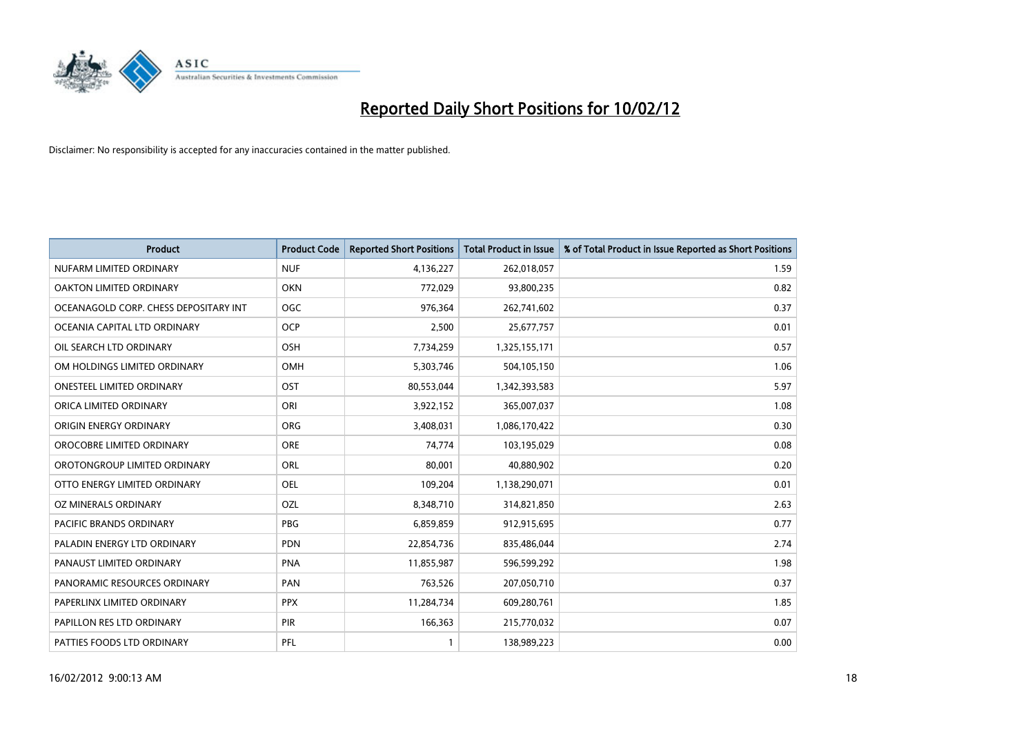

| <b>Product</b>                        | <b>Product Code</b> | <b>Reported Short Positions</b> | <b>Total Product in Issue</b> | % of Total Product in Issue Reported as Short Positions |
|---------------------------------------|---------------------|---------------------------------|-------------------------------|---------------------------------------------------------|
| NUFARM LIMITED ORDINARY               | <b>NUF</b>          | 4,136,227                       | 262,018,057                   | 1.59                                                    |
| OAKTON LIMITED ORDINARY               | <b>OKN</b>          | 772,029                         | 93,800,235                    | 0.82                                                    |
| OCEANAGOLD CORP. CHESS DEPOSITARY INT | <b>OGC</b>          | 976,364                         | 262,741,602                   | 0.37                                                    |
| OCEANIA CAPITAL LTD ORDINARY          | <b>OCP</b>          | 2,500                           | 25,677,757                    | 0.01                                                    |
| OIL SEARCH LTD ORDINARY               | OSH                 | 7,734,259                       | 1,325,155,171                 | 0.57                                                    |
| OM HOLDINGS LIMITED ORDINARY          | OMH                 | 5,303,746                       | 504,105,150                   | 1.06                                                    |
| <b>ONESTEEL LIMITED ORDINARY</b>      | OST                 | 80,553,044                      | 1,342,393,583                 | 5.97                                                    |
| ORICA LIMITED ORDINARY                | ORI                 | 3,922,152                       | 365,007,037                   | 1.08                                                    |
| ORIGIN ENERGY ORDINARY                | <b>ORG</b>          | 3,408,031                       | 1,086,170,422                 | 0.30                                                    |
| OROCOBRE LIMITED ORDINARY             | <b>ORE</b>          | 74,774                          | 103,195,029                   | 0.08                                                    |
| OROTONGROUP LIMITED ORDINARY          | ORL                 | 80,001                          | 40,880,902                    | 0.20                                                    |
| OTTO ENERGY LIMITED ORDINARY          | <b>OEL</b>          | 109,204                         | 1,138,290,071                 | 0.01                                                    |
| OZ MINERALS ORDINARY                  | OZL                 | 8,348,710                       | 314,821,850                   | 2.63                                                    |
| <b>PACIFIC BRANDS ORDINARY</b>        | <b>PBG</b>          | 6,859,859                       | 912,915,695                   | 0.77                                                    |
| PALADIN ENERGY LTD ORDINARY           | <b>PDN</b>          | 22,854,736                      | 835,486,044                   | 2.74                                                    |
| PANAUST LIMITED ORDINARY              | <b>PNA</b>          | 11,855,987                      | 596,599,292                   | 1.98                                                    |
| PANORAMIC RESOURCES ORDINARY          | PAN                 | 763,526                         | 207,050,710                   | 0.37                                                    |
| PAPERLINX LIMITED ORDINARY            | <b>PPX</b>          | 11,284,734                      | 609,280,761                   | 1.85                                                    |
| PAPILLON RES LTD ORDINARY             | PIR                 | 166,363                         | 215,770,032                   | 0.07                                                    |
| PATTIES FOODS LTD ORDINARY            | PFL                 |                                 | 138,989,223                   | 0.00                                                    |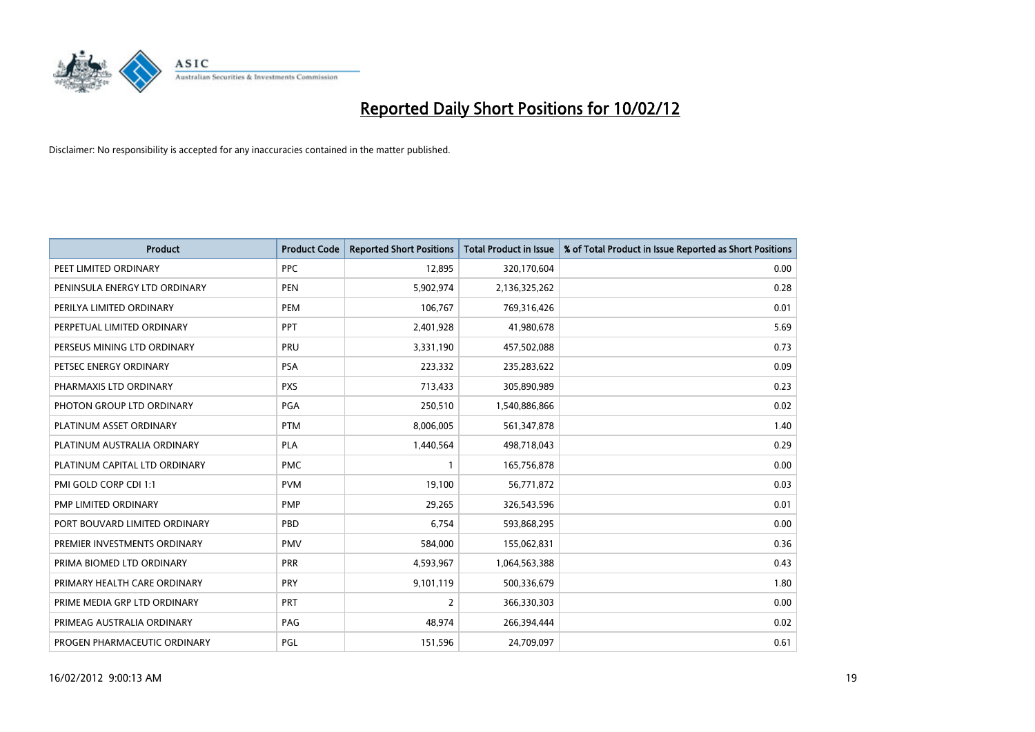

| <b>Product</b>                | <b>Product Code</b> | <b>Reported Short Positions</b> | <b>Total Product in Issue</b> | % of Total Product in Issue Reported as Short Positions |
|-------------------------------|---------------------|---------------------------------|-------------------------------|---------------------------------------------------------|
| PEET LIMITED ORDINARY         | <b>PPC</b>          | 12,895                          | 320,170,604                   | 0.00                                                    |
| PENINSULA ENERGY LTD ORDINARY | <b>PEN</b>          | 5,902,974                       | 2,136,325,262                 | 0.28                                                    |
| PERILYA LIMITED ORDINARY      | <b>PEM</b>          | 106,767                         | 769,316,426                   | 0.01                                                    |
| PERPETUAL LIMITED ORDINARY    | PPT                 | 2,401,928                       | 41,980,678                    | 5.69                                                    |
| PERSEUS MINING LTD ORDINARY   | PRU                 | 3,331,190                       | 457,502,088                   | 0.73                                                    |
| PETSEC ENERGY ORDINARY        | <b>PSA</b>          | 223,332                         | 235,283,622                   | 0.09                                                    |
| PHARMAXIS LTD ORDINARY        | <b>PXS</b>          | 713,433                         | 305,890,989                   | 0.23                                                    |
| PHOTON GROUP LTD ORDINARY     | PGA                 | 250,510                         | 1,540,886,866                 | 0.02                                                    |
| PLATINUM ASSET ORDINARY       | <b>PTM</b>          | 8,006,005                       | 561,347,878                   | 1.40                                                    |
| PLATINUM AUSTRALIA ORDINARY   | <b>PLA</b>          | 1,440,564                       | 498,718,043                   | 0.29                                                    |
| PLATINUM CAPITAL LTD ORDINARY | <b>PMC</b>          |                                 | 165,756,878                   | 0.00                                                    |
| PMI GOLD CORP CDI 1:1         | <b>PVM</b>          | 19,100                          | 56,771,872                    | 0.03                                                    |
| PMP LIMITED ORDINARY          | <b>PMP</b>          | 29,265                          | 326,543,596                   | 0.01                                                    |
| PORT BOUVARD LIMITED ORDINARY | PBD                 | 6,754                           | 593,868,295                   | 0.00                                                    |
| PREMIER INVESTMENTS ORDINARY  | <b>PMV</b>          | 584,000                         | 155,062,831                   | 0.36                                                    |
| PRIMA BIOMED LTD ORDINARY     | <b>PRR</b>          | 4,593,967                       | 1,064,563,388                 | 0.43                                                    |
| PRIMARY HEALTH CARE ORDINARY  | <b>PRY</b>          | 9,101,119                       | 500,336,679                   | 1.80                                                    |
| PRIME MEDIA GRP LTD ORDINARY  | <b>PRT</b>          | $\overline{2}$                  | 366,330,303                   | 0.00                                                    |
| PRIMEAG AUSTRALIA ORDINARY    | PAG                 | 48,974                          | 266,394,444                   | 0.02                                                    |
| PROGEN PHARMACEUTIC ORDINARY  | PGL                 | 151,596                         | 24,709,097                    | 0.61                                                    |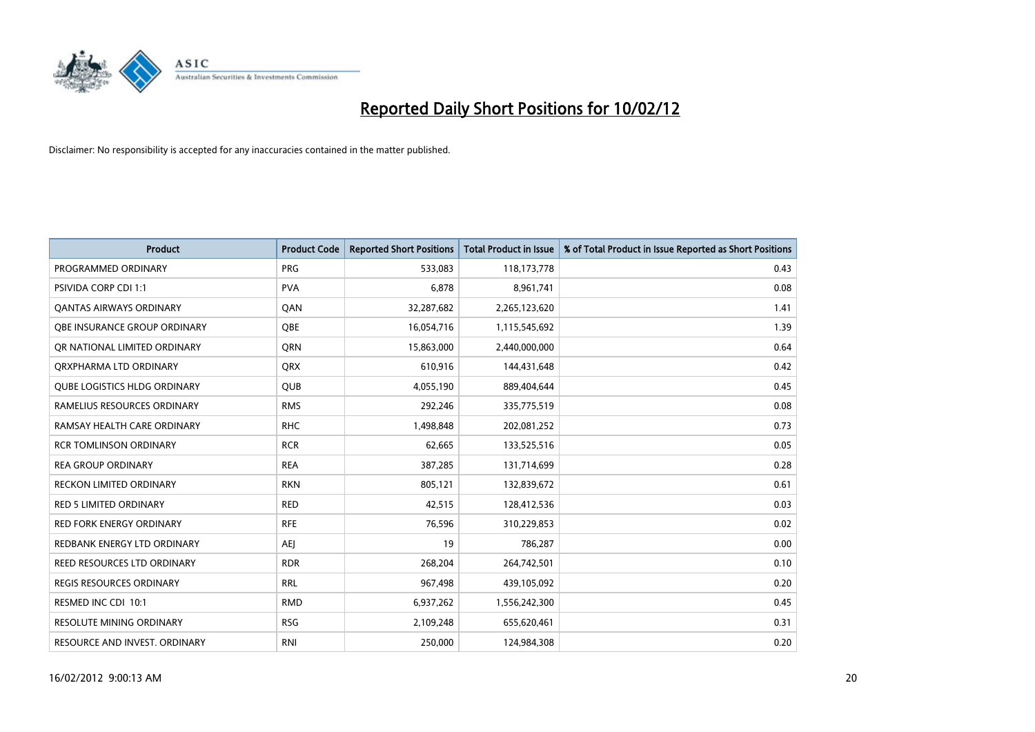

| <b>Product</b>                      | <b>Product Code</b> | <b>Reported Short Positions</b> | <b>Total Product in Issue</b> | % of Total Product in Issue Reported as Short Positions |
|-------------------------------------|---------------------|---------------------------------|-------------------------------|---------------------------------------------------------|
| PROGRAMMED ORDINARY                 | <b>PRG</b>          | 533,083                         | 118,173,778                   | 0.43                                                    |
| <b>PSIVIDA CORP CDI 1:1</b>         | <b>PVA</b>          | 6,878                           | 8,961,741                     | 0.08                                                    |
| <b>QANTAS AIRWAYS ORDINARY</b>      | QAN                 | 32,287,682                      | 2,265,123,620                 | 1.41                                                    |
| OBE INSURANCE GROUP ORDINARY        | <b>OBE</b>          | 16,054,716                      | 1,115,545,692                 | 1.39                                                    |
| OR NATIONAL LIMITED ORDINARY        | <b>ORN</b>          | 15,863,000                      | 2,440,000,000                 | 0.64                                                    |
| ORXPHARMA LTD ORDINARY              | <b>QRX</b>          | 610,916                         | 144,431,648                   | 0.42                                                    |
| <b>QUBE LOGISTICS HLDG ORDINARY</b> | QUB                 | 4,055,190                       | 889,404,644                   | 0.45                                                    |
| RAMELIUS RESOURCES ORDINARY         | <b>RMS</b>          | 292,246                         | 335,775,519                   | 0.08                                                    |
| RAMSAY HEALTH CARE ORDINARY         | <b>RHC</b>          | 1,498,848                       | 202,081,252                   | 0.73                                                    |
| <b>RCR TOMLINSON ORDINARY</b>       | <b>RCR</b>          | 62,665                          | 133,525,516                   | 0.05                                                    |
| <b>REA GROUP ORDINARY</b>           | <b>REA</b>          | 387,285                         | 131,714,699                   | 0.28                                                    |
| RECKON LIMITED ORDINARY             | <b>RKN</b>          | 805,121                         | 132,839,672                   | 0.61                                                    |
| RED 5 LIMITED ORDINARY              | <b>RED</b>          | 42,515                          | 128,412,536                   | 0.03                                                    |
| <b>RED FORK ENERGY ORDINARY</b>     | <b>RFE</b>          | 76,596                          | 310,229,853                   | 0.02                                                    |
| REDBANK ENERGY LTD ORDINARY         | <b>AEJ</b>          | 19                              | 786,287                       | 0.00                                                    |
| <b>REED RESOURCES LTD ORDINARY</b>  | <b>RDR</b>          | 268,204                         | 264,742,501                   | 0.10                                                    |
| REGIS RESOURCES ORDINARY            | <b>RRL</b>          | 967,498                         | 439,105,092                   | 0.20                                                    |
| RESMED INC CDI 10:1                 | <b>RMD</b>          | 6,937,262                       | 1,556,242,300                 | 0.45                                                    |
| <b>RESOLUTE MINING ORDINARY</b>     | <b>RSG</b>          | 2,109,248                       | 655,620,461                   | 0.31                                                    |
| RESOURCE AND INVEST. ORDINARY       | <b>RNI</b>          | 250,000                         | 124,984,308                   | 0.20                                                    |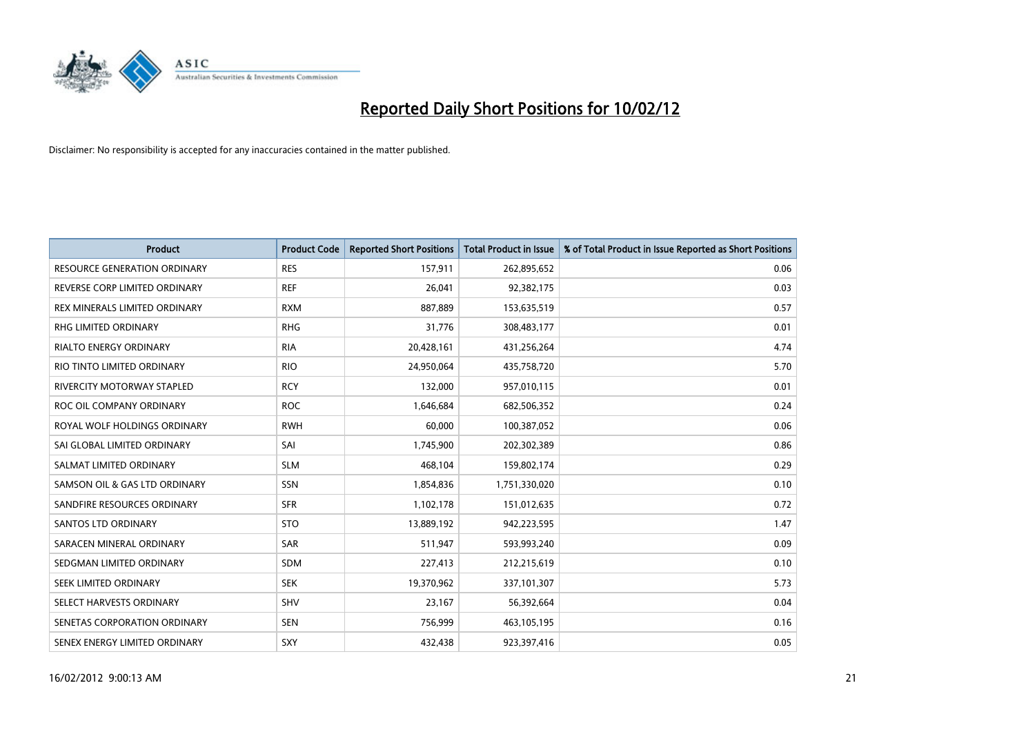

| <b>Product</b>                      | <b>Product Code</b> | <b>Reported Short Positions</b> | <b>Total Product in Issue</b> | % of Total Product in Issue Reported as Short Positions |
|-------------------------------------|---------------------|---------------------------------|-------------------------------|---------------------------------------------------------|
| <b>RESOURCE GENERATION ORDINARY</b> | <b>RES</b>          | 157,911                         | 262,895,652                   | 0.06                                                    |
| REVERSE CORP LIMITED ORDINARY       | <b>REF</b>          | 26,041                          | 92,382,175                    | 0.03                                                    |
| REX MINERALS LIMITED ORDINARY       | <b>RXM</b>          | 887,889                         | 153,635,519                   | 0.57                                                    |
| RHG LIMITED ORDINARY                | <b>RHG</b>          | 31,776                          | 308,483,177                   | 0.01                                                    |
| <b>RIALTO ENERGY ORDINARY</b>       | <b>RIA</b>          | 20,428,161                      | 431,256,264                   | 4.74                                                    |
| RIO TINTO LIMITED ORDINARY          | <b>RIO</b>          | 24,950,064                      | 435,758,720                   | 5.70                                                    |
| RIVERCITY MOTORWAY STAPLED          | <b>RCY</b>          | 132,000                         | 957,010,115                   | 0.01                                                    |
| ROC OIL COMPANY ORDINARY            | <b>ROC</b>          | 1,646,684                       | 682,506,352                   | 0.24                                                    |
| ROYAL WOLF HOLDINGS ORDINARY        | <b>RWH</b>          | 60,000                          | 100,387,052                   | 0.06                                                    |
| SAI GLOBAL LIMITED ORDINARY         | SAI                 | 1,745,900                       | 202,302,389                   | 0.86                                                    |
| SALMAT LIMITED ORDINARY             | <b>SLM</b>          | 468,104                         | 159,802,174                   | 0.29                                                    |
| SAMSON OIL & GAS LTD ORDINARY       | SSN                 | 1,854,836                       | 1,751,330,020                 | 0.10                                                    |
| SANDFIRE RESOURCES ORDINARY         | <b>SFR</b>          | 1,102,178                       | 151,012,635                   | 0.72                                                    |
| SANTOS LTD ORDINARY                 | <b>STO</b>          | 13,889,192                      | 942,223,595                   | 1.47                                                    |
| SARACEN MINERAL ORDINARY            | SAR                 | 511,947                         | 593,993,240                   | 0.09                                                    |
| SEDGMAN LIMITED ORDINARY            | SDM                 | 227,413                         | 212,215,619                   | 0.10                                                    |
| SEEK LIMITED ORDINARY               | <b>SEK</b>          | 19,370,962                      | 337,101,307                   | 5.73                                                    |
| SELECT HARVESTS ORDINARY            | SHV                 | 23,167                          | 56,392,664                    | 0.04                                                    |
| SENETAS CORPORATION ORDINARY        | <b>SEN</b>          | 756,999                         | 463,105,195                   | 0.16                                                    |
| SENEX ENERGY LIMITED ORDINARY       | SXY                 | 432,438                         | 923,397,416                   | 0.05                                                    |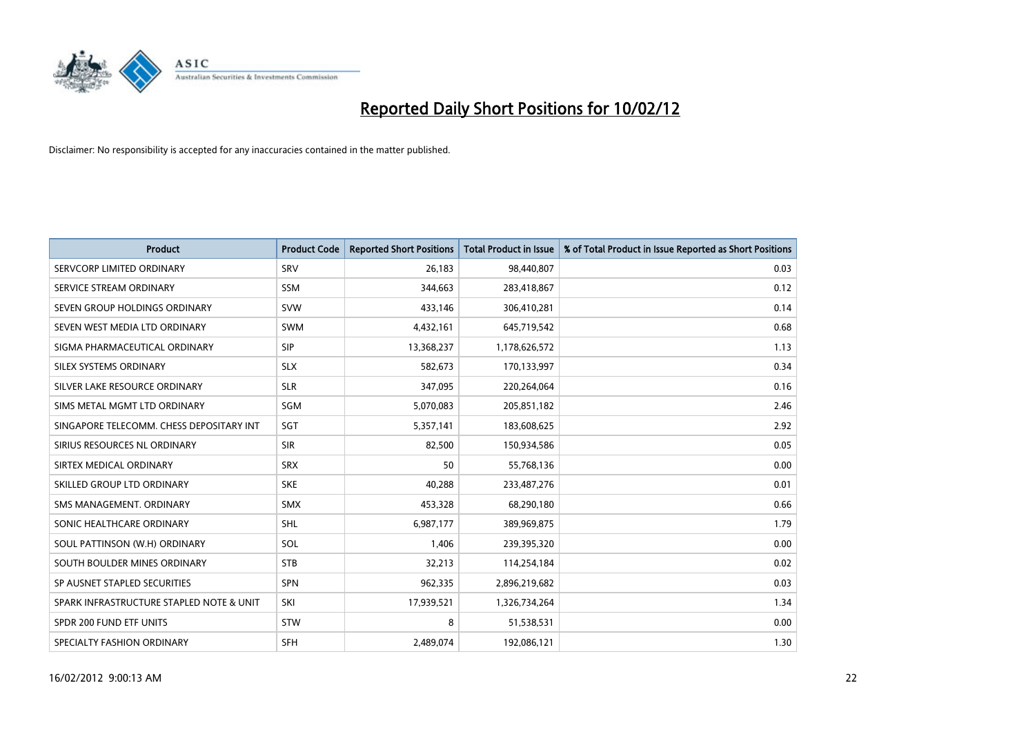

| <b>Product</b>                           | <b>Product Code</b> | <b>Reported Short Positions</b> | <b>Total Product in Issue</b> | % of Total Product in Issue Reported as Short Positions |
|------------------------------------------|---------------------|---------------------------------|-------------------------------|---------------------------------------------------------|
| SERVCORP LIMITED ORDINARY                | SRV                 | 26,183                          | 98,440,807                    | 0.03                                                    |
| SERVICE STREAM ORDINARY                  | <b>SSM</b>          | 344,663                         | 283,418,867                   | 0.12                                                    |
| SEVEN GROUP HOLDINGS ORDINARY            | <b>SVW</b>          | 433,146                         | 306,410,281                   | 0.14                                                    |
| SEVEN WEST MEDIA LTD ORDINARY            | <b>SWM</b>          | 4,432,161                       | 645,719,542                   | 0.68                                                    |
| SIGMA PHARMACEUTICAL ORDINARY            | <b>SIP</b>          | 13,368,237                      | 1,178,626,572                 | 1.13                                                    |
| SILEX SYSTEMS ORDINARY                   | <b>SLX</b>          | 582,673                         | 170,133,997                   | 0.34                                                    |
| SILVER LAKE RESOURCE ORDINARY            | <b>SLR</b>          | 347,095                         | 220,264,064                   | 0.16                                                    |
| SIMS METAL MGMT LTD ORDINARY             | SGM                 | 5,070,083                       | 205,851,182                   | 2.46                                                    |
| SINGAPORE TELECOMM. CHESS DEPOSITARY INT | SGT                 | 5,357,141                       | 183,608,625                   | 2.92                                                    |
| SIRIUS RESOURCES NL ORDINARY             | <b>SIR</b>          | 82,500                          | 150,934,586                   | 0.05                                                    |
| SIRTEX MEDICAL ORDINARY                  | <b>SRX</b>          | 50                              | 55,768,136                    | 0.00                                                    |
| SKILLED GROUP LTD ORDINARY               | <b>SKE</b>          | 40,288                          | 233,487,276                   | 0.01                                                    |
| SMS MANAGEMENT, ORDINARY                 | <b>SMX</b>          | 453,328                         | 68,290,180                    | 0.66                                                    |
| SONIC HEALTHCARE ORDINARY                | <b>SHL</b>          | 6,987,177                       | 389,969,875                   | 1.79                                                    |
| SOUL PATTINSON (W.H) ORDINARY            | SOL                 | 1,406                           | 239,395,320                   | 0.00                                                    |
| SOUTH BOULDER MINES ORDINARY             | <b>STB</b>          | 32,213                          | 114,254,184                   | 0.02                                                    |
| SP AUSNET STAPLED SECURITIES             | <b>SPN</b>          | 962,335                         | 2,896,219,682                 | 0.03                                                    |
| SPARK INFRASTRUCTURE STAPLED NOTE & UNIT | SKI                 | 17,939,521                      | 1,326,734,264                 | 1.34                                                    |
| SPDR 200 FUND ETF UNITS                  | <b>STW</b>          | 8                               | 51,538,531                    | 0.00                                                    |
| SPECIALTY FASHION ORDINARY               | <b>SFH</b>          | 2,489,074                       | 192,086,121                   | 1.30                                                    |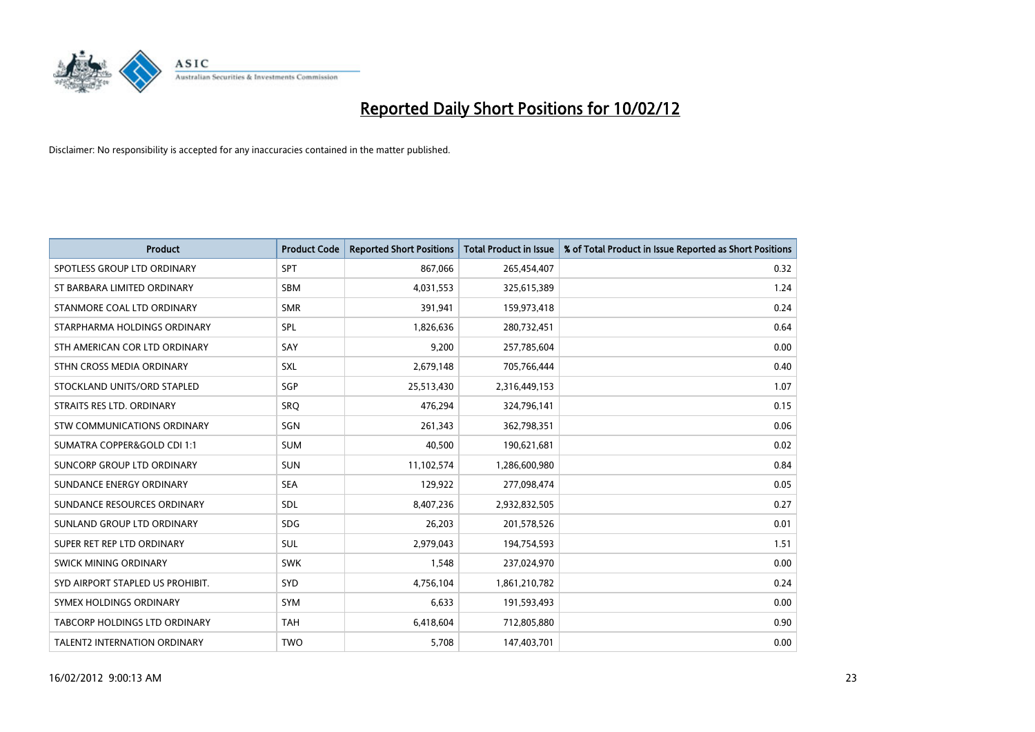

| <b>Product</b>                       | <b>Product Code</b> | <b>Reported Short Positions</b> | <b>Total Product in Issue</b> | % of Total Product in Issue Reported as Short Positions |
|--------------------------------------|---------------------|---------------------------------|-------------------------------|---------------------------------------------------------|
| SPOTLESS GROUP LTD ORDINARY          | <b>SPT</b>          | 867,066                         | 265,454,407                   | 0.32                                                    |
| ST BARBARA LIMITED ORDINARY          | <b>SBM</b>          | 4,031,553                       | 325,615,389                   | 1.24                                                    |
| STANMORE COAL LTD ORDINARY           | <b>SMR</b>          | 391,941                         | 159,973,418                   | 0.24                                                    |
| STARPHARMA HOLDINGS ORDINARY         | <b>SPL</b>          | 1,826,636                       | 280,732,451                   | 0.64                                                    |
| STH AMERICAN COR LTD ORDINARY        | SAY                 | 9,200                           | 257,785,604                   | 0.00                                                    |
| STHN CROSS MEDIA ORDINARY            | SXL                 | 2,679,148                       | 705,766,444                   | 0.40                                                    |
| STOCKLAND UNITS/ORD STAPLED          | <b>SGP</b>          | 25,513,430                      | 2,316,449,153                 | 1.07                                                    |
| STRAITS RES LTD. ORDINARY            | <b>SRQ</b>          | 476,294                         | 324,796,141                   | 0.15                                                    |
| STW COMMUNICATIONS ORDINARY          | SGN                 | 261,343                         | 362,798,351                   | 0.06                                                    |
| SUMATRA COPPER&GOLD CDI 1:1          | <b>SUM</b>          | 40,500                          | 190,621,681                   | 0.02                                                    |
| SUNCORP GROUP LTD ORDINARY           | <b>SUN</b>          | 11,102,574                      | 1,286,600,980                 | 0.84                                                    |
| SUNDANCE ENERGY ORDINARY             | <b>SEA</b>          | 129,922                         | 277,098,474                   | 0.05                                                    |
| SUNDANCE RESOURCES ORDINARY          | SDL                 | 8,407,236                       | 2,932,832,505                 | 0.27                                                    |
| SUNLAND GROUP LTD ORDINARY           | <b>SDG</b>          | 26,203                          | 201,578,526                   | 0.01                                                    |
| SUPER RET REP LTD ORDINARY           | <b>SUL</b>          | 2,979,043                       | 194,754,593                   | 1.51                                                    |
| SWICK MINING ORDINARY                | <b>SWK</b>          | 1,548                           | 237,024,970                   | 0.00                                                    |
| SYD AIRPORT STAPLED US PROHIBIT.     | <b>SYD</b>          | 4,756,104                       | 1,861,210,782                 | 0.24                                                    |
| SYMEX HOLDINGS ORDINARY              | <b>SYM</b>          | 6,633                           | 191,593,493                   | 0.00                                                    |
| <b>TABCORP HOLDINGS LTD ORDINARY</b> | <b>TAH</b>          | 6,418,604                       | 712,805,880                   | 0.90                                                    |
| <b>TALENT2 INTERNATION ORDINARY</b>  | <b>TWO</b>          | 5,708                           | 147,403,701                   | 0.00                                                    |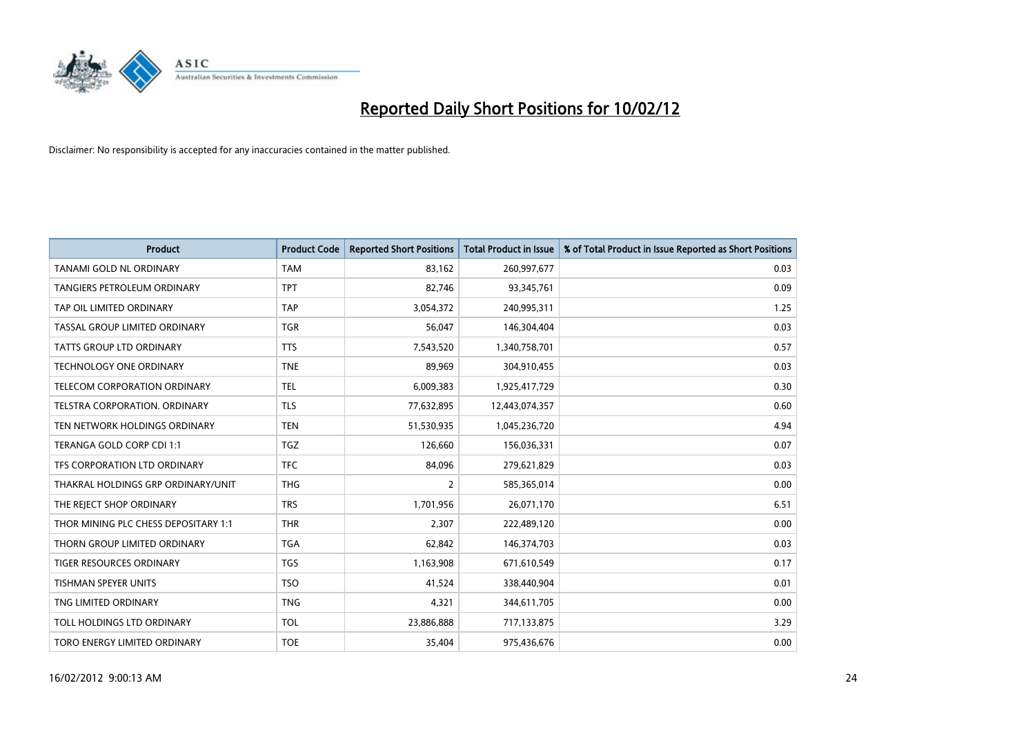

| <b>Product</b>                       | <b>Product Code</b> | <b>Reported Short Positions</b> | <b>Total Product in Issue</b> | % of Total Product in Issue Reported as Short Positions |
|--------------------------------------|---------------------|---------------------------------|-------------------------------|---------------------------------------------------------|
| <b>TANAMI GOLD NL ORDINARY</b>       | <b>TAM</b>          | 83,162                          | 260,997,677                   | 0.03                                                    |
| TANGIERS PETROLEUM ORDINARY          | <b>TPT</b>          | 82,746                          | 93,345,761                    | 0.09                                                    |
| TAP OIL LIMITED ORDINARY             | <b>TAP</b>          | 3,054,372                       | 240,995,311                   | 1.25                                                    |
| TASSAL GROUP LIMITED ORDINARY        | <b>TGR</b>          | 56,047                          | 146,304,404                   | 0.03                                                    |
| <b>TATTS GROUP LTD ORDINARY</b>      | <b>TTS</b>          | 7,543,520                       | 1,340,758,701                 | 0.57                                                    |
| <b>TECHNOLOGY ONE ORDINARY</b>       | <b>TNE</b>          | 89,969                          | 304,910,455                   | 0.03                                                    |
| TELECOM CORPORATION ORDINARY         | <b>TEL</b>          | 6,009,383                       | 1,925,417,729                 | 0.30                                                    |
| TELSTRA CORPORATION. ORDINARY        | <b>TLS</b>          | 77,632,895                      | 12,443,074,357                | 0.60                                                    |
| TEN NETWORK HOLDINGS ORDINARY        | <b>TEN</b>          | 51,530,935                      | 1,045,236,720                 | 4.94                                                    |
| TERANGA GOLD CORP CDI 1:1            | <b>TGZ</b>          | 126,660                         | 156,036,331                   | 0.07                                                    |
| TFS CORPORATION LTD ORDINARY         | <b>TFC</b>          | 84,096                          | 279,621,829                   | 0.03                                                    |
| THAKRAL HOLDINGS GRP ORDINARY/UNIT   | <b>THG</b>          | $\overline{2}$                  | 585,365,014                   | 0.00                                                    |
| THE REJECT SHOP ORDINARY             | <b>TRS</b>          | 1,701,956                       | 26,071,170                    | 6.51                                                    |
| THOR MINING PLC CHESS DEPOSITARY 1:1 | <b>THR</b>          | 2,307                           | 222,489,120                   | 0.00                                                    |
| THORN GROUP LIMITED ORDINARY         | <b>TGA</b>          | 62,842                          | 146,374,703                   | 0.03                                                    |
| TIGER RESOURCES ORDINARY             | <b>TGS</b>          | 1,163,908                       | 671,610,549                   | 0.17                                                    |
| TISHMAN SPEYER UNITS                 | <b>TSO</b>          | 41,524                          | 338,440,904                   | 0.01                                                    |
| TNG LIMITED ORDINARY                 | <b>TNG</b>          | 4,321                           | 344,611,705                   | 0.00                                                    |
| TOLL HOLDINGS LTD ORDINARY           | <b>TOL</b>          | 23,886,888                      | 717,133,875                   | 3.29                                                    |
| TORO ENERGY LIMITED ORDINARY         | <b>TOE</b>          | 35,404                          | 975,436,676                   | 0.00                                                    |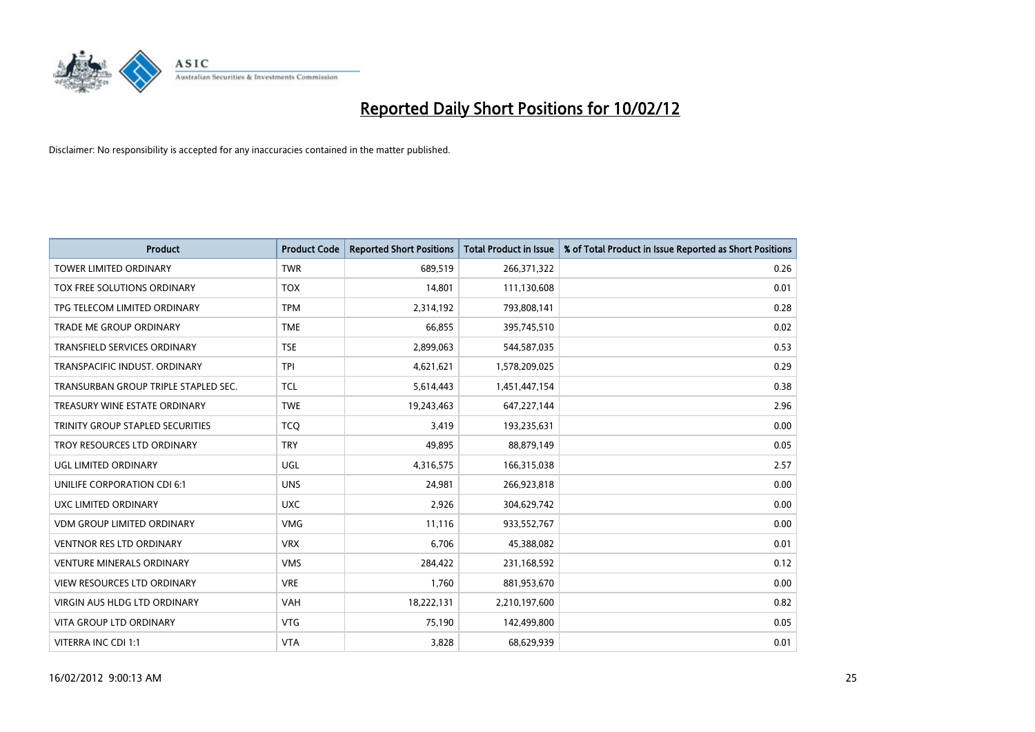

| <b>Product</b>                       | <b>Product Code</b> | <b>Reported Short Positions</b> | <b>Total Product in Issue</b> | % of Total Product in Issue Reported as Short Positions |
|--------------------------------------|---------------------|---------------------------------|-------------------------------|---------------------------------------------------------|
| <b>TOWER LIMITED ORDINARY</b>        | <b>TWR</b>          | 689,519                         | 266,371,322                   | 0.26                                                    |
| TOX FREE SOLUTIONS ORDINARY          | <b>TOX</b>          | 14,801                          | 111,130,608                   | 0.01                                                    |
| TPG TELECOM LIMITED ORDINARY         | <b>TPM</b>          | 2,314,192                       | 793,808,141                   | 0.28                                                    |
| TRADE ME GROUP ORDINARY              | <b>TME</b>          | 66,855                          | 395,745,510                   | 0.02                                                    |
| <b>TRANSFIELD SERVICES ORDINARY</b>  | <b>TSE</b>          | 2,899,063                       | 544,587,035                   | 0.53                                                    |
| TRANSPACIFIC INDUST, ORDINARY        | <b>TPI</b>          | 4,621,621                       | 1,578,209,025                 | 0.29                                                    |
| TRANSURBAN GROUP TRIPLE STAPLED SEC. | <b>TCL</b>          | 5,614,443                       | 1,451,447,154                 | 0.38                                                    |
| TREASURY WINE ESTATE ORDINARY        | <b>TWE</b>          | 19,243,463                      | 647,227,144                   | 2.96                                                    |
| TRINITY GROUP STAPLED SECURITIES     | <b>TCO</b>          | 3,419                           | 193,235,631                   | 0.00                                                    |
| TROY RESOURCES LTD ORDINARY          | <b>TRY</b>          | 49,895                          | 88,879,149                    | 0.05                                                    |
| UGL LIMITED ORDINARY                 | UGL                 | 4,316,575                       | 166,315,038                   | 2.57                                                    |
| UNILIFE CORPORATION CDI 6:1          | <b>UNS</b>          | 24,981                          | 266,923,818                   | 0.00                                                    |
| UXC LIMITED ORDINARY                 | <b>UXC</b>          | 2,926                           | 304,629,742                   | 0.00                                                    |
| <b>VDM GROUP LIMITED ORDINARY</b>    | <b>VMG</b>          | 11,116                          | 933,552,767                   | 0.00                                                    |
| <b>VENTNOR RES LTD ORDINARY</b>      | <b>VRX</b>          | 6,706                           | 45,388,082                    | 0.01                                                    |
| <b>VENTURE MINERALS ORDINARY</b>     | <b>VMS</b>          | 284,422                         | 231,168,592                   | 0.12                                                    |
| VIEW RESOURCES LTD ORDINARY          | <b>VRE</b>          | 1,760                           | 881,953,670                   | 0.00                                                    |
| VIRGIN AUS HLDG LTD ORDINARY         | <b>VAH</b>          | 18,222,131                      | 2,210,197,600                 | 0.82                                                    |
| <b>VITA GROUP LTD ORDINARY</b>       | <b>VTG</b>          | 75,190                          | 142,499,800                   | 0.05                                                    |
| VITERRA INC CDI 1:1                  | <b>VTA</b>          | 3,828                           | 68,629,939                    | 0.01                                                    |